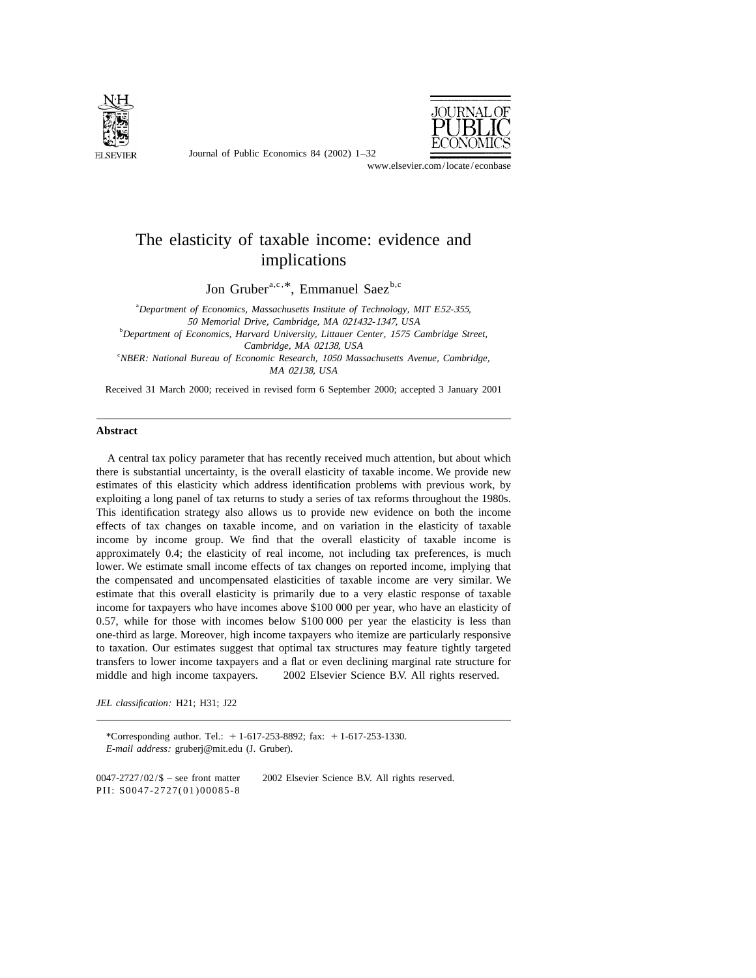

Journal of Public Economics 84 (2002) 1–32



www.elsevier.com/locate/econbase

# The elasticity of taxable income: evidence and implications

Jon Gruber<sup>a,c, \*</sup>, Emmanuel Saez<sup>b,c</sup>

a *Department of Economics*, *Massachusetts Institute of Technology*, *MIT E*52-355, <sup>50</sup> *Memorial Drive*, *Cambridge*, *MA* <sup>021432</sup>-1347, *USA* b *Department of Economics*, *Harvard University*, *Littauer Center*, <sup>1575</sup> *Cambridge Street*, *Cambridge*, *MA* 02138, *USA* c *NBER*: *National Bureau of Economic Research*, <sup>1050</sup> *Massachusetts Avenue*, *Cambridge*, *MA* 02138, *USA*

Received 31 March 2000; received in revised form 6 September 2000; accepted 3 January 2001

#### **Abstract**

A central tax policy parameter that has recently received much attention, but about which there is substantial uncertainty, is the overall elasticity of taxable income. We provide new estimates of this elasticity which address identification problems with previous work, by exploiting a long panel of tax returns to study a series of tax reforms throughout the 1980s. This identification strategy also allows us to provide new evidence on both the income effects of tax changes on taxable income, and on variation in the elasticity of taxable income by income group. We find that the overall elasticity of taxable income is approximately 0.4; the elasticity of real income, not including tax preferences, is much lower. We estimate small income effects of tax changes on reported income, implying that the compensated and uncompensated elasticities of taxable income are very similar. We estimate that this overall elasticity is primarily due to a very elastic response of taxable income for taxpayers who have incomes above \$100 000 per year, who have an elasticity of 0.57, while for those with incomes below \$100 000 per year the elasticity is less than one-third as large. Moreover, high income taxpayers who itemize are particularly responsive to taxation. Our estimates suggest that optimal tax structures may feature tightly targeted transfers to lower income taxpayers and a flat or even declining marginal rate structure for middle and high income taxpayers.  $\circ$  2002 Elsevier Science B.V. All rights reserved.

*JEL classification*: H21; H31; J22

\*Corresponding author. Tel.:  $+ 1 - 617 - 253 - 8892$ ; fax:  $+ 1 - 617 - 253 - 1330$ . *E*-*mail address*: gruberj@mit.edu (J. Gruber).

 $0047-2727/02/\$$  – see front matter  $\)$  2002 Elsevier Science B.V. All rights reserved. PII: S0047-2727(01)00085-8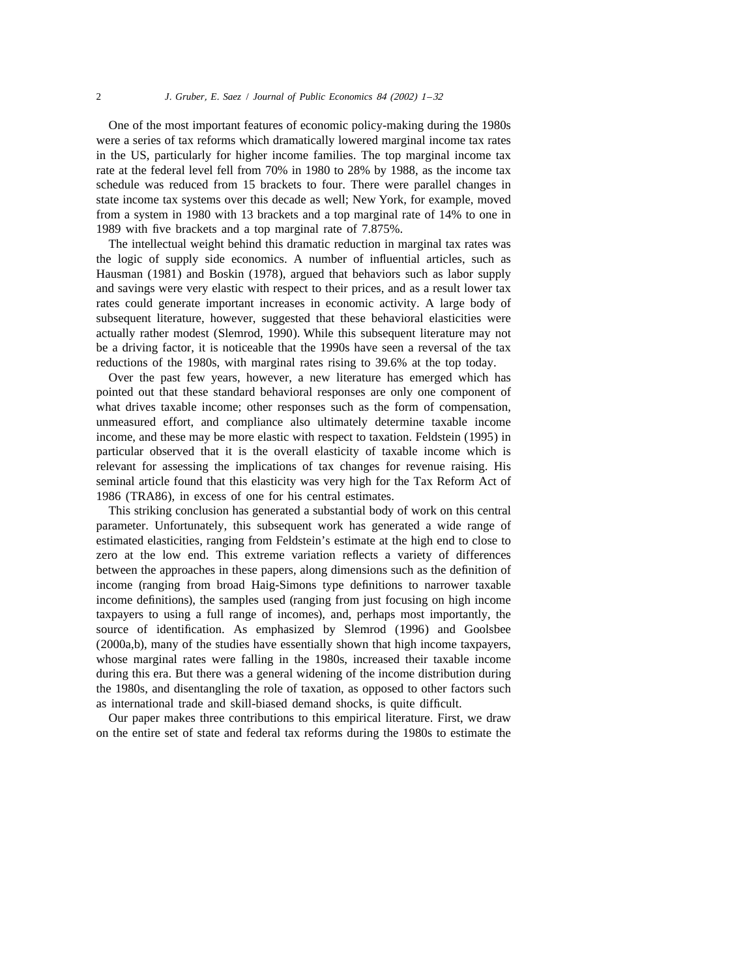One of the most important features of economic policy-making during the 1980s were a series of tax reforms which dramatically lowered marginal income tax rates in the US, particularly for higher income families. The top marginal income tax rate at the federal level fell from 70% in 1980 to 28% by 1988, as the income tax schedule was reduced from 15 brackets to four. There were parallel changes in state income tax systems over this decade as well; New York, for example, moved from a system in 1980 with 13 brackets and a top marginal rate of 14% to one in 1989 with five brackets and a top marginal rate of 7.875%.

The intellectual weight behind this dramatic reduction in marginal tax rates was the logic of supply side economics. A number of influential articles, such as Hausman (1981) and Boskin (1978), argued that behaviors such as labor supply and savings were very elastic with respect to their prices, and as a result lower tax rates could generate important increases in economic activity. A large body of subsequent literature, however, suggested that these behavioral elasticities were actually rather modest (Slemrod, 1990). While this subsequent literature may not be a driving factor, it is noticeable that the 1990s have seen a reversal of the tax reductions of the 1980s, with marginal rates rising to 39.6% at the top today.

Over the past few years, however, a new literature has emerged which has pointed out that these standard behavioral responses are only one component of what drives taxable income; other responses such as the form of compensation, unmeasured effort, and compliance also ultimately determine taxable income income, and these may be more elastic with respect to taxation. Feldstein (1995) in particular observed that it is the overall elasticity of taxable income which is relevant for assessing the implications of tax changes for revenue raising. His seminal article found that this elasticity was very high for the Tax Reform Act of 1986 (TRA86), in excess of one for his central estimates.

This striking conclusion has generated a substantial body of work on this central parameter. Unfortunately, this subsequent work has generated a wide range of estimated elasticities, ranging from Feldstein's estimate at the high end to close to zero at the low end. This extreme variation reflects a variety of differences between the approaches in these papers, along dimensions such as the definition of income (ranging from broad Haig-Simons type definitions to narrower taxable income definitions), the samples used (ranging from just focusing on high income taxpayers to using a full range of incomes), and, perhaps most importantly, the source of identification. As emphasized by Slemrod (1996) and Goolsbee (2000a,b), many of the studies have essentially shown that high income taxpayers, whose marginal rates were falling in the 1980s, increased their taxable income during this era. But there was a general widening of the income distribution during the 1980s, and disentangling the role of taxation, as opposed to other factors such as international trade and skill-biased demand shocks, is quite difficult.

Our paper makes three contributions to this empirical literature. First, we draw on the entire set of state and federal tax reforms during the 1980s to estimate the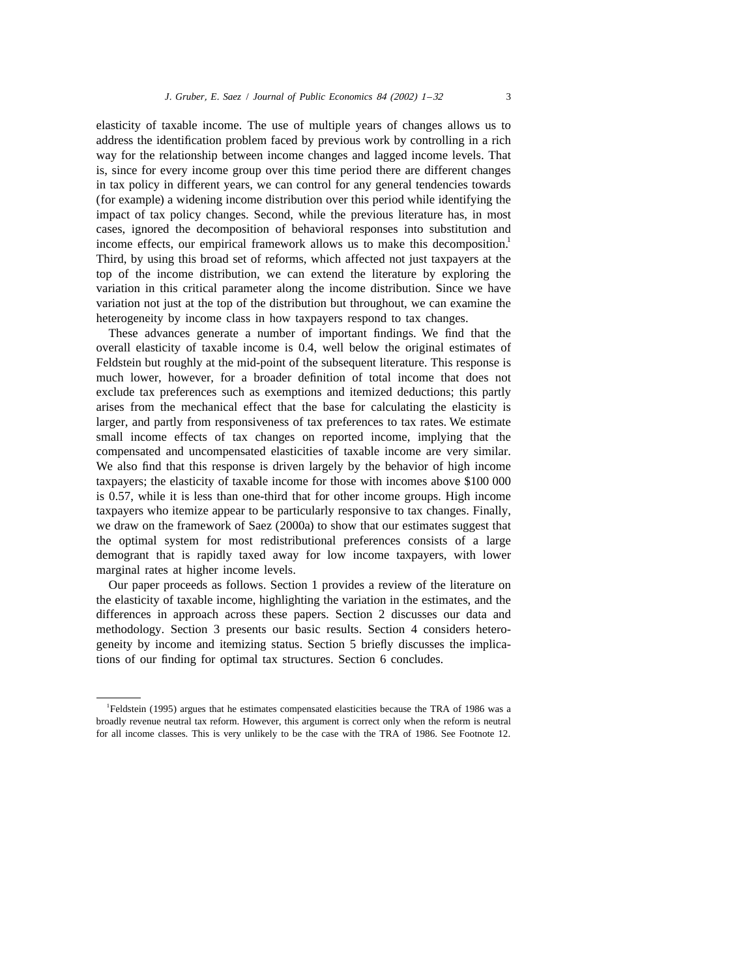elasticity of taxable income. The use of multiple years of changes allows us to address the identification problem faced by previous work by controlling in a rich way for the relationship between income changes and lagged income levels. That is, since for every income group over this time period there are different changes in tax policy in different years, we can control for any general tendencies towards (for example) a widening income distribution over this period while identifying the impact of tax policy changes. Second, while the previous literature has, in most cases, ignored the decomposition of behavioral responses into substitution and income effects, our empirical framework allows us to make this decomposition.<sup>1</sup> Third, by using this broad set of reforms, which affected not just taxpayers at the top of the income distribution, we can extend the literature by exploring the variation in this critical parameter along the income distribution. Since we have variation not just at the top of the distribution but throughout, we can examine the heterogeneity by income class in how taxpayers respond to tax changes.

These advances generate a number of important findings. We find that the overall elasticity of taxable income is 0.4, well below the original estimates of Feldstein but roughly at the mid-point of the subsequent literature. This response is much lower, however, for a broader definition of total income that does not exclude tax preferences such as exemptions and itemized deductions; this partly arises from the mechanical effect that the base for calculating the elasticity is larger, and partly from responsiveness of tax preferences to tax rates. We estimate small income effects of tax changes on reported income, implying that the compensated and uncompensated elasticities of taxable income are very similar. We also find that this response is driven largely by the behavior of high income taxpayers; the elasticity of taxable income for those with incomes above \$100 000 is 0.57, while it is less than one-third that for other income groups. High income taxpayers who itemize appear to be particularly responsive to tax changes. Finally, we draw on the framework of Saez (2000a) to show that our estimates suggest that the optimal system for most redistributional preferences consists of a large demogrant that is rapidly taxed away for low income taxpayers, with lower marginal rates at higher income levels.

Our paper proceeds as follows. Section 1 provides a review of the literature on the elasticity of taxable income, highlighting the variation in the estimates, and the differences in approach across these papers. Section 2 discusses our data and methodology. Section 3 presents our basic results. Section 4 considers heterogeneity by income and itemizing status. Section 5 briefly discusses the implications of our finding for optimal tax structures. Section 6 concludes.

<sup>&</sup>lt;sup>1</sup>Feldstein (1995) argues that he estimates compensated elasticities because the TRA of 1986 was a broadly revenue neutral tax reform. However, this argument is correct only when the reform is neutral for all income classes. This is very unlikely to be the case with the TRA of 1986. See Footnote 12.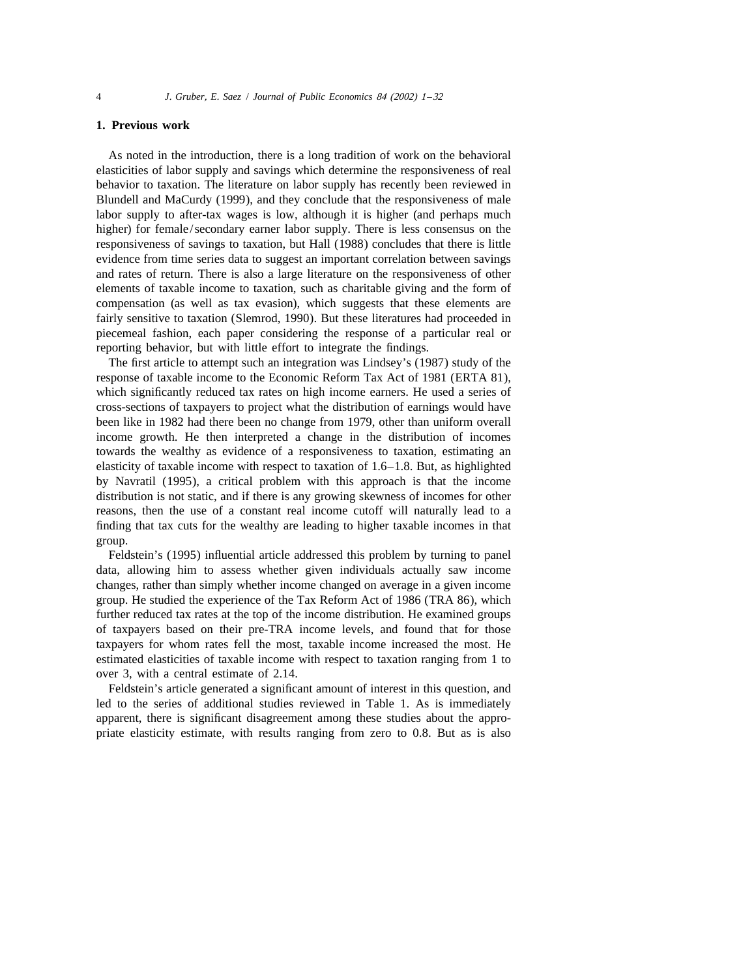## **1. Previous work**

As noted in the introduction, there is a long tradition of work on the behavioral elasticities of labor supply and savings which determine the responsiveness of real behavior to taxation. The literature on labor supply has recently been reviewed in Blundell and MaCurdy (1999), and they conclude that the responsiveness of male labor supply to after-tax wages is low, although it is higher (and perhaps much higher) for female/secondary earner labor supply. There is less consensus on the responsiveness of savings to taxation, but Hall (1988) concludes that there is little evidence from time series data to suggest an important correlation between savings and rates of return. There is also a large literature on the responsiveness of other elements of taxable income to taxation, such as charitable giving and the form of compensation (as well as tax evasion), which suggests that these elements are fairly sensitive to taxation (Slemrod, 1990). But these literatures had proceeded in piecemeal fashion, each paper considering the response of a particular real or reporting behavior, but with little effort to integrate the findings.

The first article to attempt such an integration was Lindsey's (1987) study of the response of taxable income to the Economic Reform Tax Act of 1981 (ERTA 81), which significantly reduced tax rates on high income earners. He used a series of cross-sections of taxpayers to project what the distribution of earnings would have been like in 1982 had there been no change from 1979, other than uniform overall income growth. He then interpreted a change in the distribution of incomes towards the wealthy as evidence of a responsiveness to taxation, estimating an elasticity of taxable income with respect to taxation of 1.6–1.8. But, as highlighted by Navratil (1995), a critical problem with this approach is that the income distribution is not static, and if there is any growing skewness of incomes for other reasons, then the use of a constant real income cutoff will naturally lead to a finding that tax cuts for the wealthy are leading to higher taxable incomes in that group.

Feldstein's (1995) influential article addressed this problem by turning to panel data, allowing him to assess whether given individuals actually saw income changes, rather than simply whether income changed on average in a given income group. He studied the experience of the Tax Reform Act of 1986 (TRA 86), which further reduced tax rates at the top of the income distribution. He examined groups of taxpayers based on their pre-TRA income levels, and found that for those taxpayers for whom rates fell the most, taxable income increased the most. He estimated elasticities of taxable income with respect to taxation ranging from 1 to over 3, with a central estimate of 2.14.

Feldstein's article generated a significant amount of interest in this question, and led to the series of additional studies reviewed in Table 1. As is immediately apparent, there is significant disagreement among these studies about the appropriate elasticity estimate, with results ranging from zero to 0.8. But as is also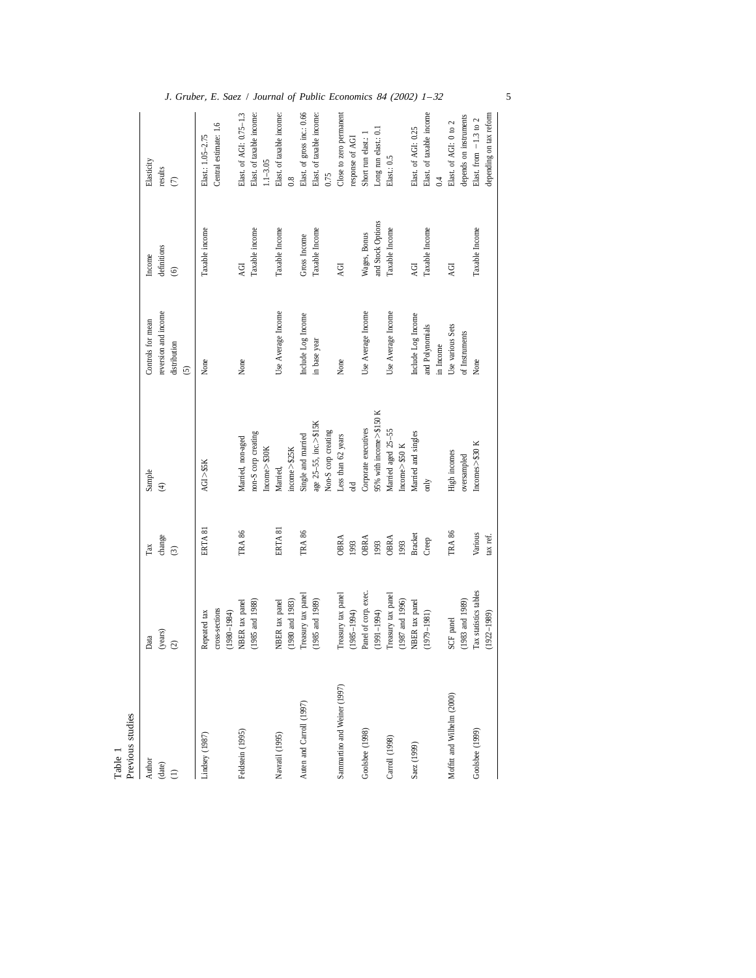| Previous studies<br>Table 1  |                                   |                    |                         |                      |                   |                                                              |
|------------------------------|-----------------------------------|--------------------|-------------------------|----------------------|-------------------|--------------------------------------------------------------|
| Author                       | Data                              | Tax                | Sample                  | Controls for mean    | Income            | Elasticity                                                   |
| (date)                       | (years)                           | change             | $\widehat{E}$           | reversion and income | definitions       | results                                                      |
| $\widehat{c}$                | $\Omega$                          | $\widehat{\odot}$  |                         | distribution         | $\odot$           | $\widehat{C}$                                                |
|                              |                                   |                    |                         | $\overline{S}$       |                   |                                                              |
| Lindsey (1987)               | Repeated tax                      | ERTA 81            | AGI > S5K               | None                 | Taxable income    | Elast.: 1.05-2.75                                            |
|                              | cross-sections<br>$(1980 - 1984)$ |                    |                         |                      |                   | J. Gruber, E. Saez /<br>Central estimate: 1.6                |
| Feldstein (1995)             | NBER tax panel                    | TRA 86             | Married, non-aged       | None                 | <b>AGI</b>        | Elast. of AGI: 0.75-1.3                                      |
|                              | (1985 and 1988)                   |                    | non-S corp creating     |                      | Taxable income    | Elast. of taxable income:                                    |
|                              |                                   |                    | ncome > \$30K           |                      |                   | $1.1 - 3.05$                                                 |
| Navratil (1995)              | NBER tax panel                    | ERTA <sub>81</sub> | Married,                | Use Average Income   | Taxable Income    | Journal of<br>Elast. of taxable income:                      |
|                              | $(1980$ and $1983)$               |                    | income > \$25K          |                      |                   | 0.8                                                          |
| Auten and Carroll (1997)     | Treasury tax panel                | <b>TRA 86</b>      | Single and married      | Include Log Income   | Gross Income      | Elast. of gross inc.: 0.66                                   |
|                              | (1985 and 1989)                   |                    | age 25-55, inc.>\$15K   | in base year         | Taxable Income    | Public Economics 84 (2002) 1-32<br>Elast. of taxable income: |
|                              |                                   |                    | Non-S corp creating     |                      |                   | 0.75                                                         |
| Sammartino and Weiner (1997) | Treasury tax panel                | <b>OBRA</b>        | Less than 62 years      | None                 | <b>AGI</b>        | Close to zero permanent                                      |
|                              | $(1985 - 1994)$                   | 1993               | old                     |                      |                   | response of AGI                                              |
| Goolsbee (1998)              | Panel of corp. exec.              | <b>OBRA</b>        | Corporate executives    | Use Average Income   | Wages, Bonus      | Short run elast.: 1                                          |
|                              | $(1991 - 1994)$                   | 1993               | 95% with income>\$150 K |                      | and Stock Options | Long run elast.: 0.1                                         |
| Carroll (1998)               | Treasury tax panel                | OBRA               | Married aged 25-55      | Use Average Income   | Taxable Income    | Elast.: 0.5                                                  |
|                              | $(1987$ and $1996)$               | 1993               | Income $> 850$ K        |                      |                   |                                                              |
| Saez (1999)                  | NBER tax panel                    | <b>Bracket</b>     | Married and singles     | Include Log Income   | <b>AGI</b>        | Elast. of AGI: 0.25                                          |
|                              | $(1979 - 1981)$                   | Creep              | only                    | and Polynomials      | Taxable Income    | Elast. of taxable income                                     |
|                              |                                   |                    |                         | in Income            |                   | 6.4                                                          |
| Moffitt and Wilhelm (2000)   | SCF panel                         | <b>TRA 86</b>      | High incomes            | Use various Sets     | <b>AGI</b>        | Elast. of AGI: $0$ to $2$                                    |
|                              | $(1983$ and $1989)$               |                    | oversampled             | of Instruments       |                   | depends on instruments                                       |
| Goolsbee (1999)              | Tax statistics tables             | Various            | Incomes $>$ \$30 K      | None                 | Taxable Income    | Elast. from $-1.3$ to 2                                      |
|                              | $(1922 - 1989)$                   | tax ref.           |                         |                      |                   | depending on tax reform                                      |

5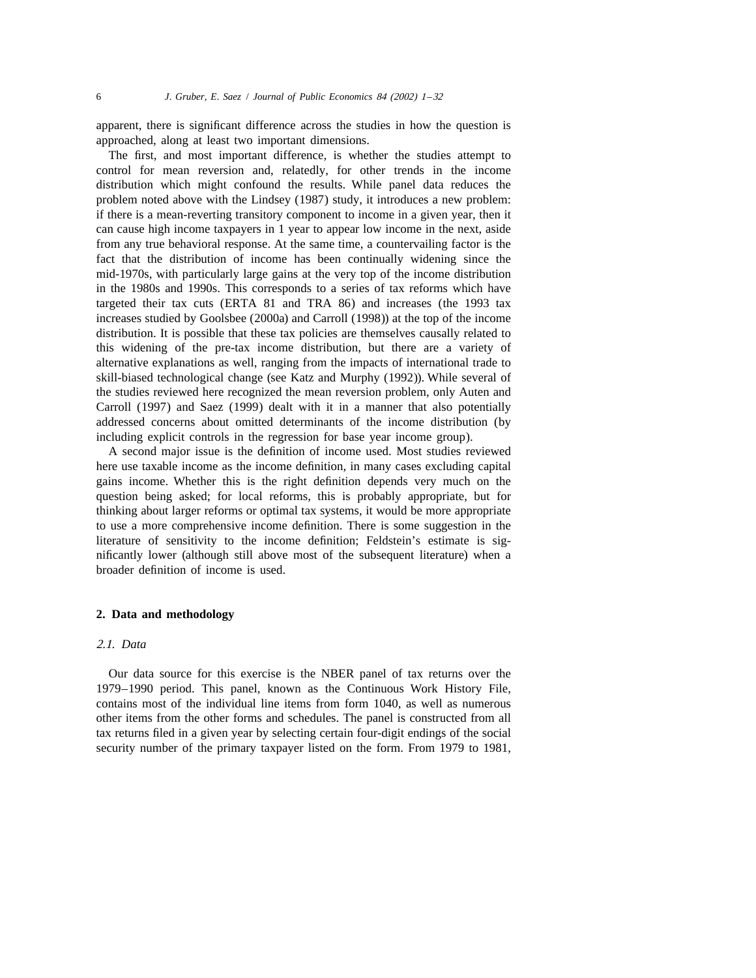apparent, there is significant difference across the studies in how the question is approached, along at least two important dimensions.

The first, and most important difference, is whether the studies attempt to control for mean reversion and, relatedly, for other trends in the income distribution which might confound the results. While panel data reduces the problem noted above with the Lindsey (1987) study, it introduces a new problem: if there is a mean-reverting transitory component to income in a given year, then it can cause high income taxpayers in 1 year to appear low income in the next, aside from any true behavioral response. At the same time, a countervailing factor is the fact that the distribution of income has been continually widening since the mid-1970s, with particularly large gains at the very top of the income distribution in the 1980s and 1990s. This corresponds to a series of tax reforms which have targeted their tax cuts (ERTA 81 and TRA 86) and increases (the 1993 tax increases studied by Goolsbee (2000a) and Carroll (1998)) at the top of the income distribution. It is possible that these tax policies are themselves causally related to this widening of the pre-tax income distribution, but there are a variety of alternative explanations as well, ranging from the impacts of international trade to skill-biased technological change (see Katz and Murphy (1992)). While several of the studies reviewed here recognized the mean reversion problem, only Auten and Carroll (1997) and Saez (1999) dealt with it in a manner that also potentially addressed concerns about omitted determinants of the income distribution (by including explicit controls in the regression for base year income group).

A second major issue is the definition of income used. Most studies reviewed here use taxable income as the income definition, in many cases excluding capital gains income. Whether this is the right definition depends very much on the question being asked; for local reforms, this is probably appropriate, but for thinking about larger reforms or optimal tax systems, it would be more appropriate to use a more comprehensive income definition. There is some suggestion in the literature of sensitivity to the income definition; Feldstein's estimate is significantly lower (although still above most of the subsequent literature) when a broader definition of income is used.

# **2. Data and methodology**

## 2.1. *Data*

Our data source for this exercise is the NBER panel of tax returns over the 1979–1990 period. This panel, known as the Continuous Work History File, contains most of the individual line items from form 1040, as well as numerous other items from the other forms and schedules. The panel is constructed from all tax returns filed in a given year by selecting certain four-digit endings of the social security number of the primary taxpayer listed on the form. From 1979 to 1981,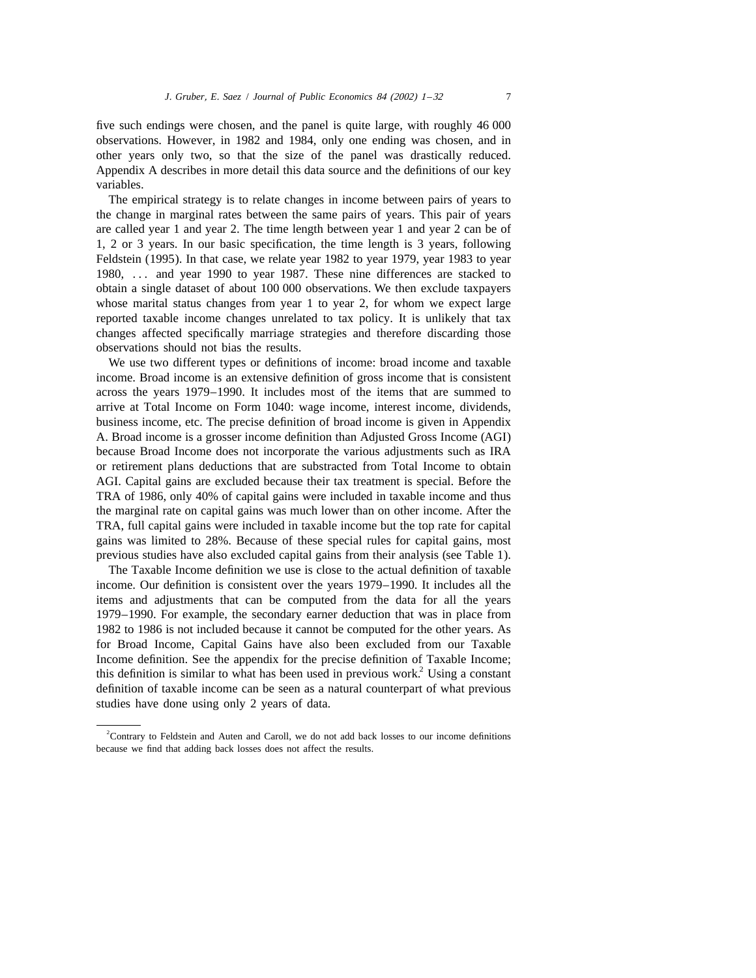five such endings were chosen, and the panel is quite large, with roughly 46 000 observations. However, in 1982 and 1984, only one ending was chosen, and in other years only two, so that the size of the panel was drastically reduced. Appendix A describes in more detail this data source and the definitions of our key variables.

The empirical strategy is to relate changes in income between pairs of years to the change in marginal rates between the same pairs of years. This pair of years are called year 1 and year 2. The time length between year 1 and year 2 can be of 1, 2 or 3 years. In our basic specification, the time length is 3 years, following Feldstein (1995). In that case, we relate year 1982 to year 1979, year 1983 to year 1980, ... and year 1990 to year 1987. These nine differences are stacked to obtain a single dataset of about 100 000 observations. We then exclude taxpayers whose marital status changes from year 1 to year 2, for whom we expect large reported taxable income changes unrelated to tax policy. It is unlikely that tax changes affected specifically marriage strategies and therefore discarding those observations should not bias the results.

We use two different types or definitions of income: broad income and taxable income. Broad income is an extensive definition of gross income that is consistent across the years 1979–1990. It includes most of the items that are summed to arrive at Total Income on Form 1040: wage income, interest income, dividends, business income, etc. The precise definition of broad income is given in Appendix A. Broad income is a grosser income definition than Adjusted Gross Income (AGI) because Broad Income does not incorporate the various adjustments such as IRA or retirement plans deductions that are substracted from Total Income to obtain AGI. Capital gains are excluded because their tax treatment is special. Before the TRA of 1986, only 40% of capital gains were included in taxable income and thus the marginal rate on capital gains was much lower than on other income. After the TRA, full capital gains were included in taxable income but the top rate for capital gains was limited to 28%. Because of these special rules for capital gains, most previous studies have also excluded capital gains from their analysis (see Table 1).

The Taxable Income definition we use is close to the actual definition of taxable income. Our definition is consistent over the years 1979–1990. It includes all the items and adjustments that can be computed from the data for all the years 1979–1990. For example, the secondary earner deduction that was in place from 1982 to 1986 is not included because it cannot be computed for the other years. As for Broad Income, Capital Gains have also been excluded from our Taxable Income definition. See the appendix for the precise definition of Taxable Income; this definition is similar to what has been used in previous work.<sup>2</sup> Using a constant definition of taxable income can be seen as a natural counterpart of what previous studies have done using only 2 years of data.

<sup>&</sup>lt;sup>2</sup> Contrary to Feldstein and Auten and Caroll, we do not add back losses to our income definitions because we find that adding back losses does not affect the results.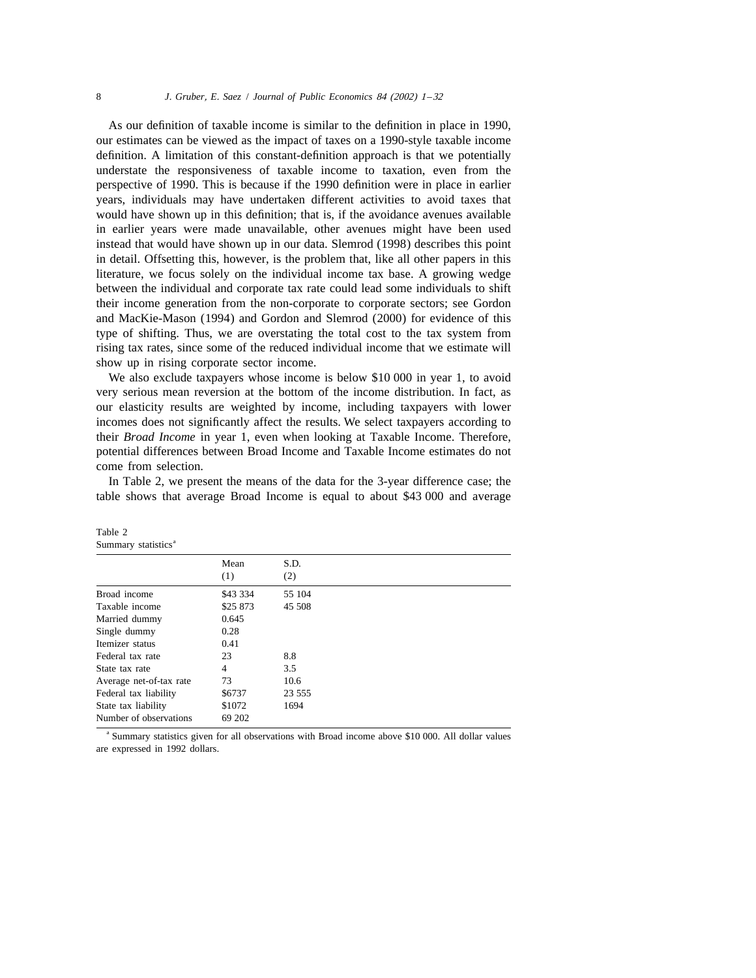As our definition of taxable income is similar to the definition in place in 1990, our estimates can be viewed as the impact of taxes on a 1990-style taxable income definition. A limitation of this constant-definition approach is that we potentially understate the responsiveness of taxable income to taxation, even from the perspective of 1990. This is because if the 1990 definition were in place in earlier years, individuals may have undertaken different activities to avoid taxes that would have shown up in this definition; that is, if the avoidance avenues available in earlier years were made unavailable, other avenues might have been used instead that would have shown up in our data. Slemrod (1998) describes this point in detail. Offsetting this, however, is the problem that, like all other papers in this literature, we focus solely on the individual income tax base. A growing wedge between the individual and corporate tax rate could lead some individuals to shift their income generation from the non-corporate to corporate sectors; see Gordon and MacKie-Mason (1994) and Gordon and Slemrod (2000) for evidence of this type of shifting. Thus, we are overstating the total cost to the tax system from rising tax rates, since some of the reduced individual income that we estimate will show up in rising corporate sector income.

We also exclude taxpayers whose income is below \$10 000 in year 1, to avoid very serious mean reversion at the bottom of the income distribution. In fact, as our elasticity results are weighted by income, including taxpayers with lower incomes does not significantly affect the results. We select taxpayers according to their *Broad Income* in year 1, even when looking at Taxable Income. Therefore, potential differences between Broad Income and Taxable Income estimates do not come from selection.

In Table 2, we present the means of the data for the 3-year difference case; the table shows that average Broad Income is equal to about \$43 000 and average

| Summary statistics      |             |             |  |  |  |
|-------------------------|-------------|-------------|--|--|--|
|                         | Mean<br>(1) | S.D.<br>(2) |  |  |  |
| Broad income            | \$43 334    | 55 104      |  |  |  |
| Taxable income          | \$25 873    | 45 508      |  |  |  |
| Married dummy           | 0.645       |             |  |  |  |
| Single dummy            | 0.28        |             |  |  |  |
| Itemizer status         | 0.41        |             |  |  |  |
| Federal tax rate        | 23          | 8.8         |  |  |  |
| State tax rate          | 4           | 3.5         |  |  |  |
| Average net-of-tax rate | 73          | 10.6        |  |  |  |
| Federal tax liability   | \$6737      | 23 555      |  |  |  |
| State tax liability     | \$1072      | 1694        |  |  |  |
| Number of observations  | 69 202      |             |  |  |  |

Table 2  $\overline{a}$   $\overline{b}$   $\overline{c}$   $\overline{c}$   $\overline{c}$   $\overline{c}$   $\overline{c}$   $\overline{c}$   $\overline{c}$   $\overline{c}$   $\overline{c}$   $\overline{c}$   $\overline{c}$   $\overline{c}$   $\overline{c}$   $\overline{c}$   $\overline{c}$   $\overline{c}$   $\overline{c}$   $\overline{c}$   $\overline{c}$   $\overline{c}$   $\overline{c}$   $\overline{c}$   $\overline{$ 

<sup>a</sup> Summary statistics given for all observations with Broad income above \$10 000. All dollar values are expressed in 1992 dollars.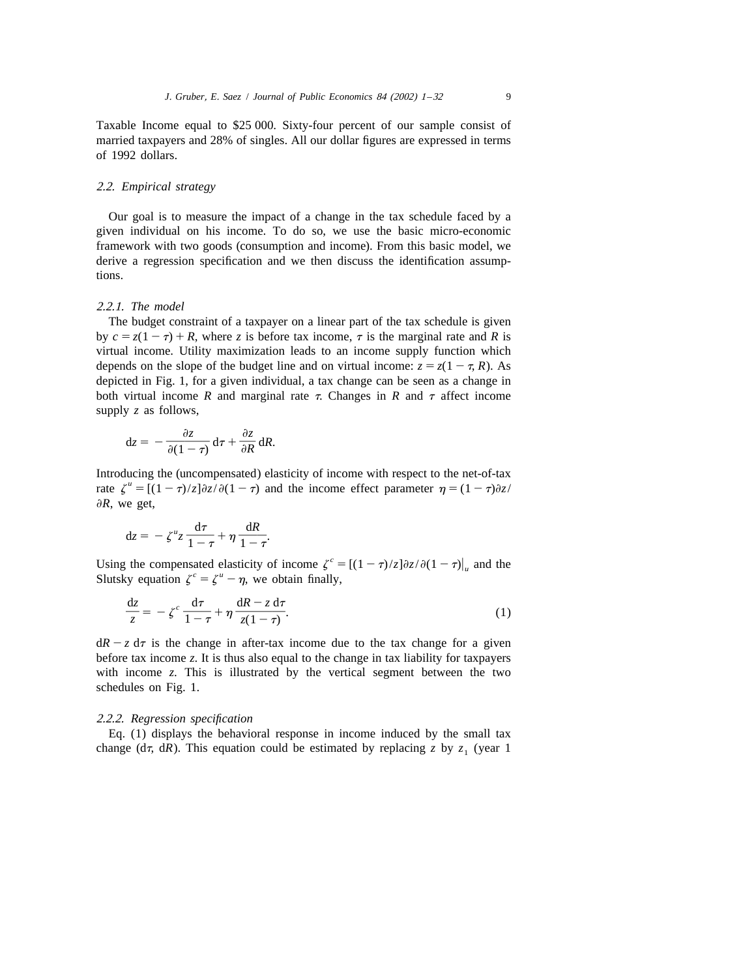Taxable Income equal to \$25 000. Sixty-four percent of our sample consist of married taxpayers and 28% of singles. All our dollar figures are expressed in terms of 1992 dollars.

# 2.2. *Empirical strategy*

Our goal is to measure the impact of a change in the tax schedule faced by a given individual on his income. To do so, we use the basic micro-economic framework with two goods (consumption and income). From this basic model, we derive a regression specification and we then discuss the identification assumptions.

# 2.2.1. *The model*

The budget constraint of a taxpayer on a linear part of the tax schedule is given by  $c = z(1 - \tau) + R$ , where *z* is before tax income,  $\tau$  is the marginal rate and *R* is virtual income. Utility maximization leads to an income supply function which depends on the slope of the budget line and on virtual income:  $z = z(1 - \tau, R)$ . As depicted in Fig. 1, for a given individual, a tax change can be seen as a change in both virtual income *R* and marginal rate  $\tau$ . Changes in *R* and  $\tau$  affect income supply *z* as follows,

$$
dz = -\frac{\partial z}{\partial (1-\tau)} d\tau + \frac{\partial z}{\partial R} dR.
$$

Introducing the (uncompensated) elasticity of income with respect to the net-of-tax *rate*  $\zeta^u = [(1 - \tau)/z]\partial z/\partial (1 - \tau)$  and the income effect parameter  $\eta = (1 - \tau)\partial z$ /  $\partial R$ , we get,

$$
dz = - \zeta^{u} z \frac{d\tau}{1 - \tau} + \eta \frac{dR}{1 - \tau}.
$$

Using the compensated elasticity of income  $\zeta^c = [(1 - \tau)/z] \partial z / \partial (1 - \tau)|_u$  and the *Slutsky equation*  $\zeta^c = \zeta^u - \eta$ , we obtain finally,

$$
\frac{dz}{z} = -\zeta^c \frac{d\tau}{1-\tau} + \eta \frac{dR - z d\tau}{z(1-\tau)}.
$$
\n(1)

 $dR - z d\tau$  is the change in after-tax income due to the tax change for a given before tax income *z*. It is thus also equal to the change in tax liability for taxpayers with income *z*. This is illustrated by the vertical segment between the two schedules on Fig. 1.

#### 2.2.2. *Regression specification*

Eq. (1) displays the behavioral response in income induced by the small tax change (d $\tau$ , d $R$ ). This equation could be estimated by replacing *z* by  $z_1$  (year 1)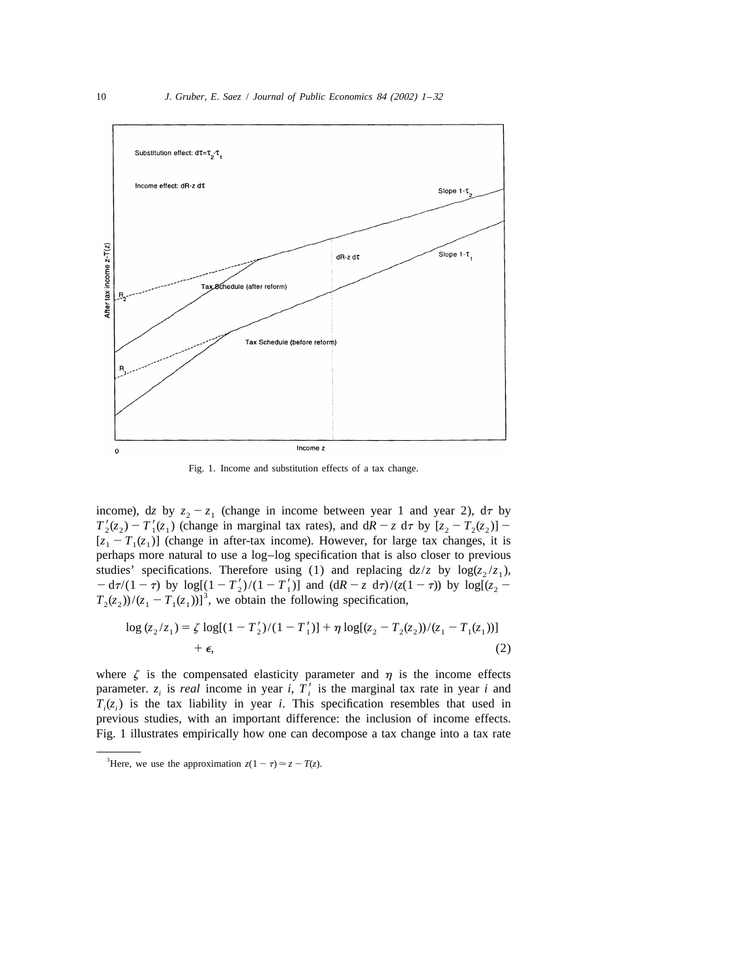

Fig. 1. Income and substitution effects of a tax change.

income), dz by  $z_2 - z_1$  (change in income between year 1 and year 2), d $\tau$  by  $T'_{2}(z_{2}) - T'_{1}(z_{1})$  (change in marginal tax rates), and  $dR - z d\tau$  by  $[z_{2} - T_{2}(z_{2})] [z_1 - T_1(z_1)]$  (change in after-tax income). However, for large tax changes, it is perhaps more natural to use a log–log specification that is also closer to previous studies' specifications. Therefore using (1) and replacing  $dz/z$  by  $log(z_2/z_1)$ ,  $-\frac{d\tau}{(1-\tau)}$  by  $\log[(1-T'_2)/(1-T'_1)]$  and  $\frac{dR-z}{d\tau}/(z(1-\tau))$  by  $\log[(z_2-T_2(z_2))/(z_1-T_1(z_1))]^3$ , we obtain the following specification,

$$
\log (z_2/z_1) = \zeta \log[(1 - T_2')/(1 - T_1')] + \eta \log[(z_2 - T_2(z_2))/(z_1 - T_1(z_1))]
$$
  
+  $\epsilon$ , (2)

where  $\zeta$  is the compensated elasticity parameter and  $\eta$  is the income effects parameter.  $z_i$  is *real* income in year *i*,  $T'_i$  is the marginal tax rate in year *i* and  $T_i(z_i)$  is the tax liability in year *i*. This specification resembles that used in previous studies, with an important difference: the inclusion of income effects. Fig. 1 illustrates empirically how one can decompose a tax change into a tax rate

<sup>&</sup>lt;sup>3</sup>Here, we use the approximation  $z(1 - \tau) \approx z - T(z)$ .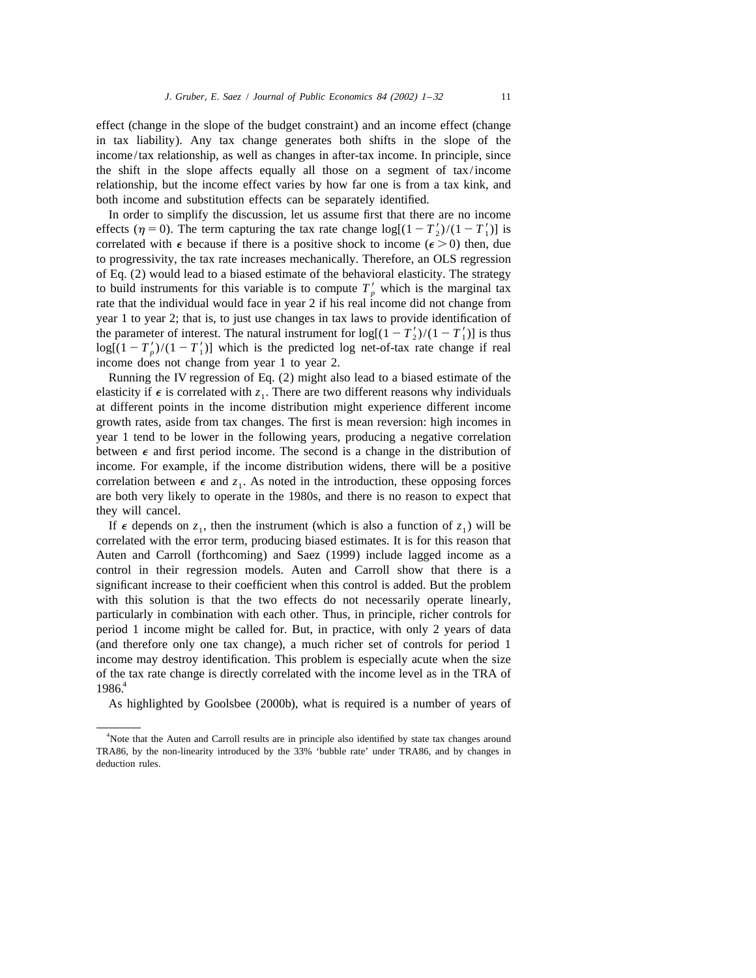effect (change in the slope of the budget constraint) and an income effect (change in tax liability). Any tax change generates both shifts in the slope of the income/tax relationship, as well as changes in after-tax income. In principle, since the shift in the slope affects equally all those on a segment of tax/income relationship, but the income effect varies by how far one is from a tax kink, and both income and substitution effects can be separately identified.

In order to simplify the discussion, let us assume first that there are no income effects ( $\eta = 0$ ). The term capturing the tax rate change  $log[(1 - T_2)/(1 - T_1')]$  is correlated with  $\epsilon$  because if there is a positive shock to income ( $\epsilon > 0$ ) then, due to progressivity, the tax rate increases mechanically. Therefore, an OLS regression of Eq. (2) would lead to a biased estimate of the behavioral elasticity. The strategy to build instruments for this variable is to compute  $T_p'$  which is the marginal tax rate that the individual would face in year 2 if his real income did not change from year 1 to year 2; that is, to just use changes in tax laws to provide identification of the parameter of interest. The natural instrument for  $log[(1 - T'_2)/(1 - T'_1)]$  is thus  $log[(1 - T'_n)/(1 - T'_n)]$  which is the predicted log net-of-tax rate change if real income does not change from year 1 to year 2.

Running the IV regression of Eq. (2) might also lead to a biased estimate of the elasticity if  $\epsilon$  is correlated with  $z_1$ . There are two different reasons why individuals at different points in the income distribution might experience different income growth rates, aside from tax changes. The first is mean reversion: high incomes in year 1 tend to be lower in the following years, producing a negative correlation between  $\epsilon$  and first period income. The second is a change in the distribution of income. For example, if the income distribution widens, there will be a positive correlation between  $\epsilon$  and  $z_1$ . As noted in the introduction, these opposing forces are both very likely to operate in the 1980s, and there is no reason to expect that they will cancel.

If  $\epsilon$  depends on  $z_1$ , then the instrument (which is also a function of  $z_1$ ) will be correlated with the error term, producing biased estimates. It is for this reason that Auten and Carroll (forthcoming) and Saez (1999) include lagged income as a control in their regression models. Auten and Carroll show that there is a significant increase to their coefficient when this control is added. But the problem with this solution is that the two effects do not necessarily operate linearly, particularly in combination with each other. Thus, in principle, richer controls for period 1 income might be called for. But, in practice, with only 2 years of data (and therefore only one tax change), a much richer set of controls for period 1 income may destroy identification. This problem is especially acute when the size of the tax rate change is directly correlated with the income level as in the TRA of  $1986<sup>4</sup>$ 

As highlighted by Goolsbee (2000b), what is required is a number of years of

<sup>&</sup>lt;sup>4</sup>Note that the Auten and Carroll results are in principle also identified by state tax changes around TRA86, by the non-linearity introduced by the 33% 'bubble rate' under TRA86, and by changes in deduction rules.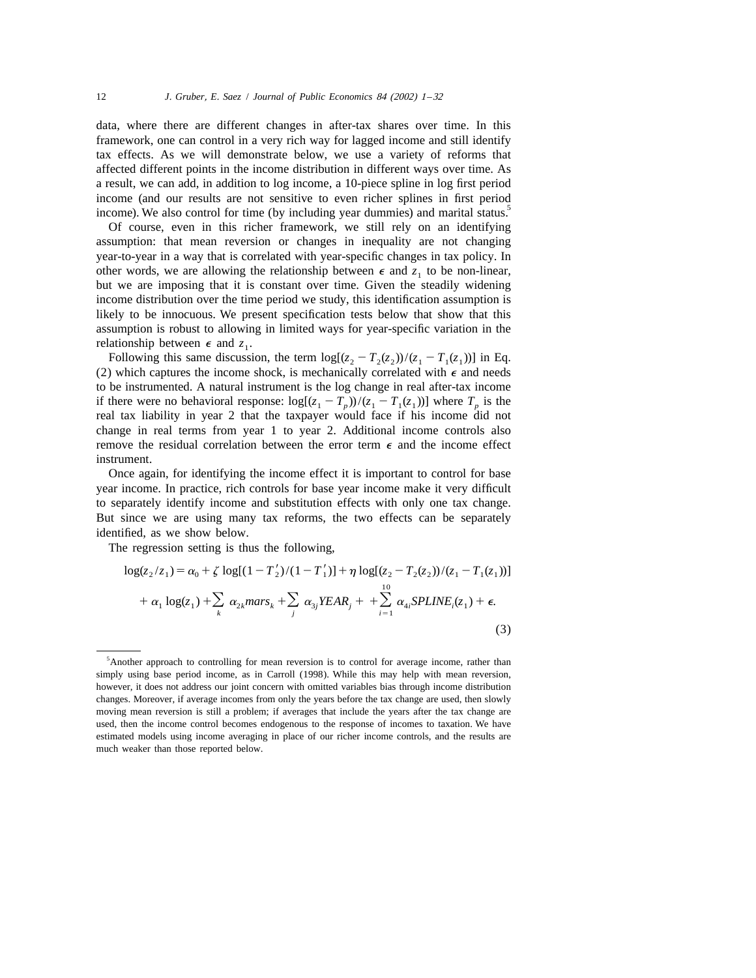data, where there are different changes in after-tax shares over time. In this framework, one can control in a very rich way for lagged income and still identify tax effects. As we will demonstrate below, we use a variety of reforms that affected different points in the income distribution in different ways over time. As a result, we can add, in addition to log income, a 10-piece spline in log first period income (and our results are not sensitive to even richer splines in first period income). We also control for time (by including year dummies) and marital status.<sup>5</sup>

Of course, even in this richer framework, we still rely on an identifying assumption: that mean reversion or changes in inequality are not changing year-to-year in a way that is correlated with year-specific changes in tax policy. In other words, we are allowing the relationship between  $\epsilon$  and  $z_1$  to be non-linear, but we are imposing that it is constant over time. Given the steadily widening income distribution over the time period we study, this identification assumption is likely to be innocuous. We present specification tests below that show that this assumption is robust to allowing in limited ways for year-specific variation in the relationship between  $\epsilon$  and  $z_1$ .

Following this same discussion, the term  $log[(z_2 - T_2(z_2))/(z_1 - T_1(z_1))]$  in Eq. (2) which captures the income shock, is mechanically correlated with  $\epsilon$  and needs to be instrumented. A natural instrument is the log change in real after-tax income if there were no behavioral response:  $\log[(z_1 - T_p)/(z_1 - T_1(z_1))]$  where  $T_p$  is the real tax liability in year 2 that the taxpayer would face if his income did not change in real terms from year 1 to year 2. Additional income controls also remove the residual correlation between the error term  $\epsilon$  and the income effect instrument.

Once again, for identifying the income effect it is important to control for base year income. In practice, rich controls for base year income make it very difficult to separately identify income and substitution effects with only one tax change. But since we are using many tax reforms, the two effects can be separately identified, as we show below.

The regression setting is thus the following,

$$
\log(z_2/z_1) = \alpha_0 + \zeta \log[(1 - T_2')/(1 - T_1')] + \eta \log[(z_2 - T_2(z_2))/(z_1 - T_1(z_1))]
$$
  
+  $\alpha_1 \log(z_1) + \sum_k \alpha_{2k} \text{mars}_k + \sum_j \alpha_{3j} \text{YEAR}_j + \sum_{i=1}^{10} \alpha_{4i} \text{SPLINE}_i(z_1) + \epsilon.$  (3)

<sup>&</sup>lt;sup>5</sup> Another approach to controlling for mean reversion is to control for average income, rather than simply using base period income, as in Carroll (1998). While this may help with mean reversion, however, it does not address our joint concern with omitted variables bias through income distribution changes. Moreover, if average incomes from only the years before the tax change are used, then slowly moving mean reversion is still a problem; if averages that include the years after the tax change are used, then the income control becomes endogenous to the response of incomes to taxation. We have estimated models using income averaging in place of our richer income controls, and the results are much weaker than those reported below.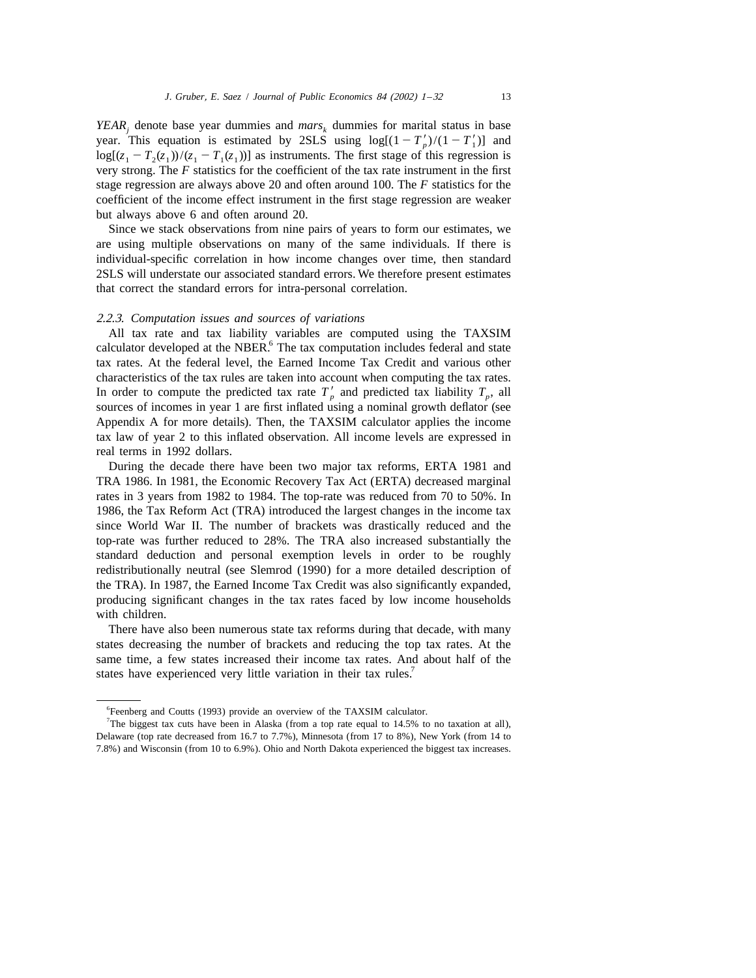*YEAR*, denote base year dummies and  $mars_k$  dummies for marital status in base year. This equation is estimated by 2SLS using  $log[(1 - T_p)/(1 - T_1')]$  and  $log[(z_1 - T_2(z_1))/(z_1 - T_1(z_1))]$  as instruments. The first stage of this regression is very strong. The *F* statistics for the coefficient of the tax rate instrument in the first stage regression are always above 20 and often around 100. The *F* statistics for the coefficient of the income effect instrument in the first stage regression are weaker but always above 6 and often around 20.

Since we stack observations from nine pairs of years to form our estimates, we are using multiple observations on many of the same individuals. If there is individual-specific correlation in how income changes over time, then standard 2SLS will understate our associated standard errors. We therefore present estimates that correct the standard errors for intra-personal correlation.

## 2.2.3. *Computation issues and sources of variations*

All tax rate and tax liability variables are computed using the TAXSIM calculator developed at the NBER.<sup>6</sup> The tax computation includes federal and state tax rates. At the federal level, the Earned Income Tax Credit and various other characteristics of the tax rules are taken into account when computing the tax rates. In order to compute the predicted tax rate  $T'_{p}$  and predicted tax liability  $T_{p}$ , all sources of incomes in year 1 are first inflated using a nominal growth deflator (see Appendix A for more details). Then, the TAXSIM calculator applies the income tax law of year 2 to this inflated observation. All income levels are expressed in real terms in 1992 dollars.

During the decade there have been two major tax reforms, ERTA 1981 and TRA 1986. In 1981, the Economic Recovery Tax Act (ERTA) decreased marginal rates in 3 years from 1982 to 1984. The top-rate was reduced from 70 to 50%. In 1986, the Tax Reform Act (TRA) introduced the largest changes in the income tax since World War II. The number of brackets was drastically reduced and the top-rate was further reduced to 28%. The TRA also increased substantially the standard deduction and personal exemption levels in order to be roughly redistributionally neutral (see Slemrod (1990) for a more detailed description of the TRA). In 1987, the Earned Income Tax Credit was also significantly expanded, producing significant changes in the tax rates faced by low income households with children.

There have also been numerous state tax reforms during that decade, with many states decreasing the number of brackets and reducing the top tax rates. At the same time, a few states increased their income tax rates. And about half of the states have experienced very little variation in their tax rules.<sup>7</sup>

<sup>&</sup>lt;sup>6</sup>Feenberg and Coutts (1993) provide an overview of the TAXSIM calculator.

<sup>&</sup>lt;sup>7</sup>The biggest tax cuts have been in Alaska (from a top rate equal to  $14.5\%$  to no taxation at all), Delaware (top rate decreased from 16.7 to 7.7%), Minnesota (from 17 to 8%), New York (from 14 to 7.8%) and Wisconsin (from 10 to 6.9%). Ohio and North Dakota experienced the biggest tax increases.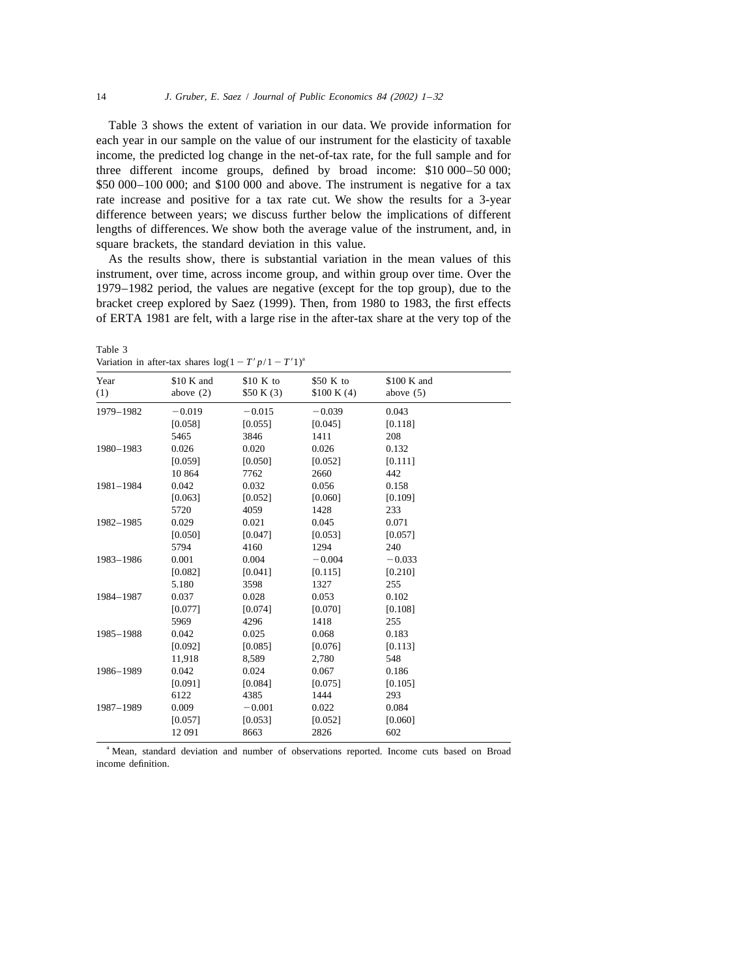Table 3 shows the extent of variation in our data. We provide information for each year in our sample on the value of our instrument for the elasticity of taxable income, the predicted log change in the net-of-tax rate, for the full sample and for three different income groups, defined by broad income: \$10 000–50 000; \$50 000–100 000; and \$100 000 and above. The instrument is negative for a tax rate increase and positive for a tax rate cut. We show the results for a 3-year difference between years; we discuss further below the implications of different lengths of differences. We show both the average value of the instrument, and, in square brackets, the standard deviation in this value.

As the results show, there is substantial variation in the mean values of this instrument, over time, across income group, and within group over time. Over the 1979–1982 period, the values are negative (except for the top group), due to the bracket creep explored by Saez (1999). Then, from 1980 to 1983, the first effects of ERTA 1981 are felt, with a large rise in the after-tax share at the very top of the

| Year      | $$10 K$ and | \$10 K to | \$50 K to  | \$100 K and |
|-----------|-------------|-----------|------------|-------------|
| (1)       | above $(2)$ | \$50 K(3) | \$100 K(4) | above $(5)$ |
| 1979-1982 | $-0.019$    | $-0.015$  | $-0.039$   | 0.043       |
|           | [0.058]     | [0.055]   | [0.045]    | [0.118]     |
|           | 5465        | 3846      | 1411       | 208         |
| 1980-1983 | 0.026       | 0.020     | 0.026      | 0.132       |
|           | [0.059]     | [0.050]   | [0.052]    | [0.111]     |
|           | 10 864      | 7762      | 2660       | 442         |
| 1981-1984 | 0.042       | 0.032     | 0.056      | 0.158       |
|           | [0.063]     | [0.052]   | [0.060]    | [0.109]     |
|           | 5720        | 4059      | 1428       | 233         |
| 1982-1985 | 0.029       | 0.021     | 0.045      | 0.071       |
|           | [0.050]     | [0.047]   | [0.053]    | [0.057]     |
|           | 5794        | 4160      | 1294       | 240         |
| 1983-1986 | 0.001       | 0.004     | $-0.004$   | $-0.033$    |
|           | [0.082]     | [0.041]   | [0.115]    | [0.210]     |
|           | 5.180       | 3598      | 1327       | 255         |
| 1984-1987 | 0.037       | 0.028     | 0.053      | 0.102       |
|           | [0.077]     | [0.074]   | [0.070]    | [0.108]     |
|           | 5969        | 4296      | 1418       | 255         |
| 1985-1988 | 0.042       | 0.025     | 0.068      | 0.183       |
|           | [0.092]     | [0.085]   | [0.076]    | [0.113]     |
|           | 11,918      | 8,589     | 2,780      | 548         |
| 1986-1989 | 0.042       | 0.024     | 0.067      | 0.186       |
|           | [0.091]     | [0.084]   | [0.075]    | [0.105]     |
|           | 6122        | 4385      | 1444       | 293         |
| 1987-1989 | 0.009       | $-0.001$  | 0.022      | 0.084       |
|           | [0.057]     | [0.053]   | [0.052]    | [0.060]     |
|           | 12 091      | 8663      | 2826       | 602         |

Variation in after-tax shares  $\log(1 - T'p/1 - T'1)^{a}$ 

<sup>a</sup> Mean, standard deviation and number of observations reported. Income cuts based on Broad income definition.

Table 3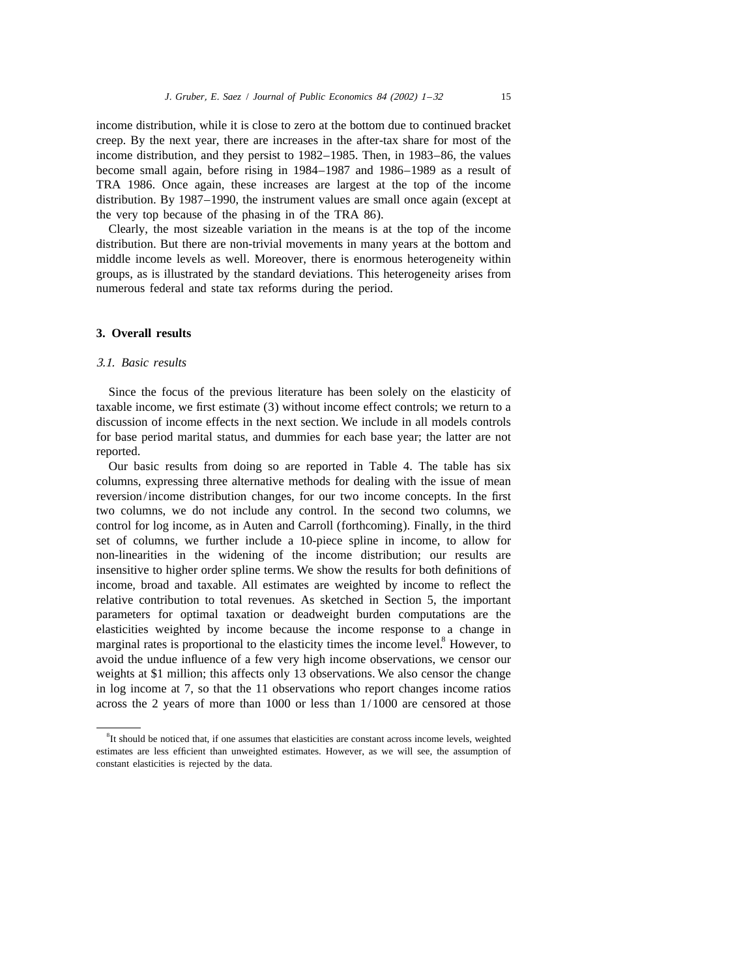income distribution, while it is close to zero at the bottom due to continued bracket creep. By the next year, there are increases in the after-tax share for most of the income distribution, and they persist to 1982–1985. Then, in 1983–86, the values become small again, before rising in 1984–1987 and 1986–1989 as a result of TRA 1986. Once again, these increases are largest at the top of the income distribution. By 1987–1990, the instrument values are small once again (except at the very top because of the phasing in of the TRA 86).

Clearly, the most sizeable variation in the means is at the top of the income distribution. But there are non-trivial movements in many years at the bottom and middle income levels as well. Moreover, there is enormous heterogeneity within groups, as is illustrated by the standard deviations. This heterogeneity arises from numerous federal and state tax reforms during the period.

## **3. Overall results**

## 3.1. *Basic results*

Since the focus of the previous literature has been solely on the elasticity of taxable income, we first estimate (3) without income effect controls; we return to a discussion of income effects in the next section. We include in all models controls for base period marital status, and dummies for each base year; the latter are not reported.

Our basic results from doing so are reported in Table 4. The table has six columns, expressing three alternative methods for dealing with the issue of mean reversion/income distribution changes, for our two income concepts. In the first two columns, we do not include any control. In the second two columns, we control for log income, as in Auten and Carroll (forthcoming). Finally, in the third set of columns, we further include a 10-piece spline in income, to allow for non-linearities in the widening of the income distribution; our results are insensitive to higher order spline terms. We show the results for both definitions of income, broad and taxable. All estimates are weighted by income to reflect the relative contribution to total revenues. As sketched in Section 5, the important parameters for optimal taxation or deadweight burden computations are the elasticities weighted by income because the income response to a change in marginal rates is proportional to the elasticity times the income level.<sup>8</sup> However, to avoid the undue influence of a few very high income observations, we censor our weights at \$1 million; this affects only 13 observations. We also censor the change in log income at 7, so that the 11 observations who report changes income ratios across the 2 years of more than  $1000$  or less than  $1/1000$  are censored at those

<sup>&</sup>lt;sup>8</sup>It should be noticed that, if one assumes that elasticities are constant across income levels, weighted estimates are less efficient than unweighted estimates. However, as we will see, the assumption of constant elasticities is rejected by the data.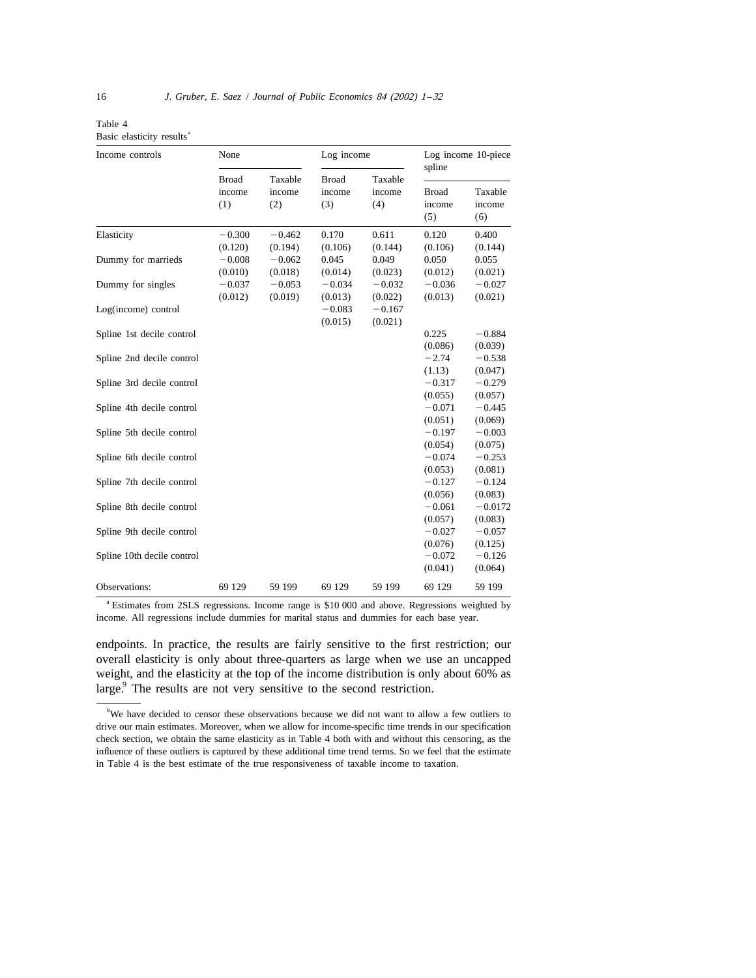| Income controls            | None                          |                          | Log income                    |                          | Log income 10-piece<br>spline |                          |
|----------------------------|-------------------------------|--------------------------|-------------------------------|--------------------------|-------------------------------|--------------------------|
|                            | <b>Broad</b><br>income<br>(1) | Taxable<br>income<br>(2) | <b>Broad</b><br>income<br>(3) | Taxable<br>income<br>(4) | <b>Broad</b><br>income<br>(5) | Taxable<br>income<br>(6) |
| Elasticity                 | $-0.300$                      | $-0.462$                 | 0.170                         | 0.611                    | 0.120                         | 0.400                    |
|                            | (0.120)                       | (0.194)                  | (0.106)                       | (0.144)                  | (0.106)                       | (0.144)                  |
| Dummy for marrieds         | $-0.008$                      | $-0.062$                 | 0.045                         | 0.049                    | 0.050                         | 0.055                    |
|                            | (0.010)                       | (0.018)                  | (0.014)                       | (0.023)                  | (0.012)                       | (0.021)                  |
| Dummy for singles          | $-0.037$                      | $-0.053$                 | $-0.034$                      | $-0.032$                 | $-0.036$                      | $-0.027$                 |
|                            | (0.012)                       | (0.019)                  | (0.013)                       | (0.022)                  | (0.013)                       | (0.021)                  |
| Log(income) control        |                               |                          | $-0.083$                      | $-0.167$                 |                               |                          |
|                            |                               |                          | (0.015)                       | (0.021)                  |                               |                          |
| Spline 1st decile control  |                               |                          |                               |                          | 0.225                         | $-0.884$                 |
|                            |                               |                          |                               |                          | (0.086)                       | (0.039)                  |
| Spline 2nd decile control  |                               |                          |                               |                          | $-2.74$                       | $-0.538$                 |
|                            |                               |                          |                               |                          | (1.13)                        | (0.047)                  |
| Spline 3rd decile control  |                               |                          |                               |                          | $-0.317$                      | $-0.279$                 |
|                            |                               |                          |                               |                          | (0.055)                       | (0.057)                  |
| Spline 4th decile control  |                               |                          |                               |                          | $-0.071$                      | $-0.445$                 |
|                            |                               |                          |                               |                          | (0.051)                       | (0.069)                  |
| Spline 5th decile control  |                               |                          |                               |                          | $-0.197$                      | $-0.003$                 |
|                            |                               |                          |                               |                          | (0.054)                       | (0.075)                  |
| Spline 6th decile control  |                               |                          |                               |                          | $-0.074$                      | $-0.253$                 |
|                            |                               |                          |                               |                          | (0.053)                       | (0.081)                  |
| Spline 7th decile control  |                               |                          |                               |                          | $-0.127$                      | $-0.124$                 |
|                            |                               |                          |                               |                          | (0.056)                       | (0.083)                  |
| Spline 8th decile control  |                               |                          |                               |                          | $-0.061$                      | $-0.0172$                |
|                            |                               |                          |                               |                          | (0.057)                       | (0.083)                  |
| Spline 9th decile control  |                               |                          |                               |                          | $-0.027$                      | $-0.057$                 |
|                            |                               |                          |                               |                          | (0.076)                       | (0.125)                  |
| Spline 10th decile control |                               |                          |                               |                          | $-0.072$                      | $-0.126$                 |
|                            |                               |                          |                               |                          | (0.041)                       | (0.064)                  |
| Observations:              | 69 129                        | 59 199                   | 69 129                        | 59 199                   | 69 129                        | 59 199                   |

| Table 4 |                                       |  |
|---------|---------------------------------------|--|
|         | Basic elasticity results <sup>a</sup> |  |

<sup>a</sup> Estimates from 2SLS regressions. Income range is \$10 000 and above. Regressions weighted by income. All regressions include dummies for marital status and dummies for each base year.

endpoints. In practice, the results are fairly sensitive to the first restriction; our overall elasticity is only about three-quarters as large when we use an uncapped weight, and the elasticity at the top of the income distribution is only about 60% as large.<sup>9</sup> The results are not very sensitive to the second restriction.

<sup>&</sup>lt;sup>9</sup>We have decided to censor these observations because we did not want to allow a few outliers to drive our main estimates. Moreover, when we allow for income-specific time trends in our specification check section, we obtain the same elasticity as in Table 4 both with and without this censoring, as the influence of these outliers is captured by these additional time trend terms. So we feel that the estimate in Table 4 is the best estimate of the true responsiveness of taxable income to taxation.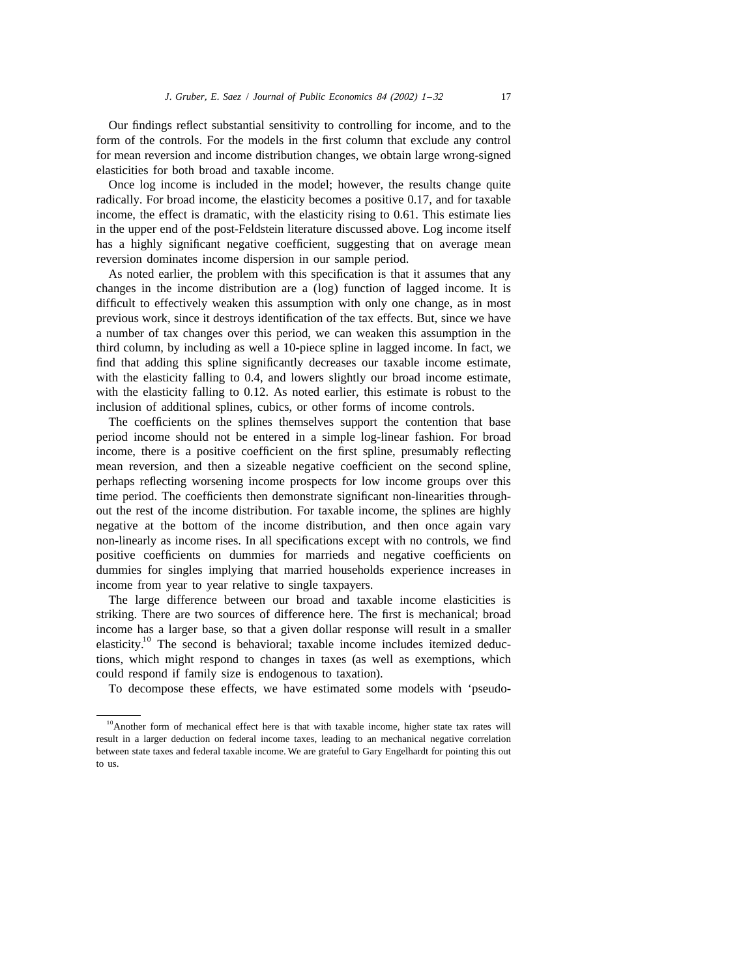Our findings reflect substantial sensitivity to controlling for income, and to the form of the controls. For the models in the first column that exclude any control for mean reversion and income distribution changes, we obtain large wrong-signed elasticities for both broad and taxable income.

Once log income is included in the model; however, the results change quite radically. For broad income, the elasticity becomes a positive 0.17, and for taxable income, the effect is dramatic, with the elasticity rising to 0.61. This estimate lies in the upper end of the post-Feldstein literature discussed above. Log income itself has a highly significant negative coefficient, suggesting that on average mean reversion dominates income dispersion in our sample period.

As noted earlier, the problem with this specification is that it assumes that any changes in the income distribution are a (log) function of lagged income. It is difficult to effectively weaken this assumption with only one change, as in most previous work, since it destroys identification of the tax effects. But, since we have a number of tax changes over this period, we can weaken this assumption in the third column, by including as well a 10-piece spline in lagged income. In fact, we find that adding this spline significantly decreases our taxable income estimate, with the elasticity falling to 0.4, and lowers slightly our broad income estimate, with the elasticity falling to 0.12. As noted earlier, this estimate is robust to the inclusion of additional splines, cubics, or other forms of income controls.

The coefficients on the splines themselves support the contention that base period income should not be entered in a simple log-linear fashion. For broad income, there is a positive coefficient on the first spline, presumably reflecting mean reversion, and then a sizeable negative coefficient on the second spline, perhaps reflecting worsening income prospects for low income groups over this time period. The coefficients then demonstrate significant non-linearities throughout the rest of the income distribution. For taxable income, the splines are highly negative at the bottom of the income distribution, and then once again vary non-linearly as income rises. In all specifications except with no controls, we find positive coefficients on dummies for marrieds and negative coefficients on dummies for singles implying that married households experience increases in income from year to year relative to single taxpayers.

The large difference between our broad and taxable income elasticities is striking. There are two sources of difference here. The first is mechanical; broad income has a larger base, so that a given dollar response will result in a smaller elasticity.<sup>10</sup> The second is behavioral; taxable income includes itemized deductions, which might respond to changes in taxes (as well as exemptions, which could respond if family size is endogenous to taxation).

To decompose these effects, we have estimated some models with 'pseudo-

<sup>&</sup>lt;sup>10</sup>Another form of mechanical effect here is that with taxable income, higher state tax rates will result in a larger deduction on federal income taxes, leading to an mechanical negative correlation between state taxes and federal taxable income. We are grateful to Gary Engelhardt for pointing this out to us.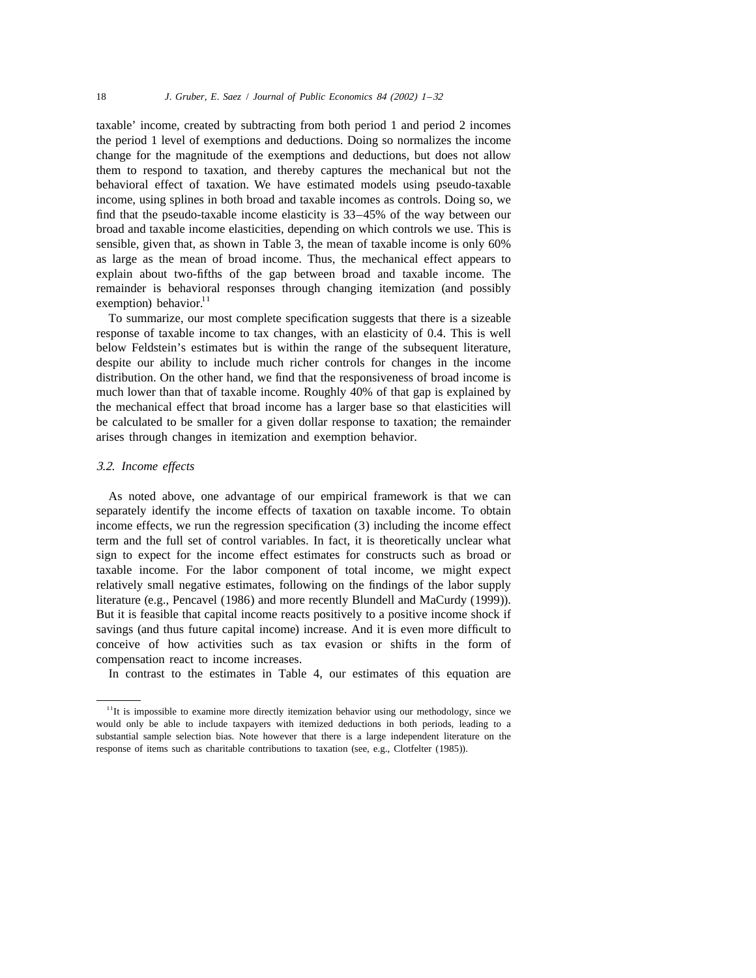taxable' income, created by subtracting from both period 1 and period 2 incomes the period 1 level of exemptions and deductions. Doing so normalizes the income change for the magnitude of the exemptions and deductions, but does not allow them to respond to taxation, and thereby captures the mechanical but not the behavioral effect of taxation. We have estimated models using pseudo-taxable income, using splines in both broad and taxable incomes as controls. Doing so, we find that the pseudo-taxable income elasticity is 33–45% of the way between our broad and taxable income elasticities, depending on which controls we use. This is sensible, given that, as shown in Table 3, the mean of taxable income is only 60% as large as the mean of broad income. Thus, the mechanical effect appears to explain about two-fifths of the gap between broad and taxable income. The remainder is behavioral responses through changing itemization (and possibly exemption) behavior.<sup>11</sup>

To summarize, our most complete specification suggests that there is a sizeable response of taxable income to tax changes, with an elasticity of 0.4. This is well below Feldstein's estimates but is within the range of the subsequent literature, despite our ability to include much richer controls for changes in the income distribution. On the other hand, we find that the responsiveness of broad income is much lower than that of taxable income. Roughly 40% of that gap is explained by the mechanical effect that broad income has a larger base so that elasticities will be calculated to be smaller for a given dollar response to taxation; the remainder arises through changes in itemization and exemption behavior.

## 3.2. *Income effects*

As noted above, one advantage of our empirical framework is that we can separately identify the income effects of taxation on taxable income. To obtain income effects, we run the regression specification (3) including the income effect term and the full set of control variables. In fact, it is theoretically unclear what sign to expect for the income effect estimates for constructs such as broad or taxable income. For the labor component of total income, we might expect relatively small negative estimates, following on the findings of the labor supply literature (e.g., Pencavel (1986) and more recently Blundell and MaCurdy (1999)). But it is feasible that capital income reacts positively to a positive income shock if savings (and thus future capital income) increase. And it is even more difficult to conceive of how activities such as tax evasion or shifts in the form of compensation react to income increases.

In contrast to the estimates in Table 4, our estimates of this equation are

<sup>&</sup>lt;sup>11</sup>It is impossible to examine more directly itemization behavior using our methodology, since we would only be able to include taxpayers with itemized deductions in both periods, leading to a substantial sample selection bias. Note however that there is a large independent literature on the response of items such as charitable contributions to taxation (see, e.g., Clotfelter (1985)).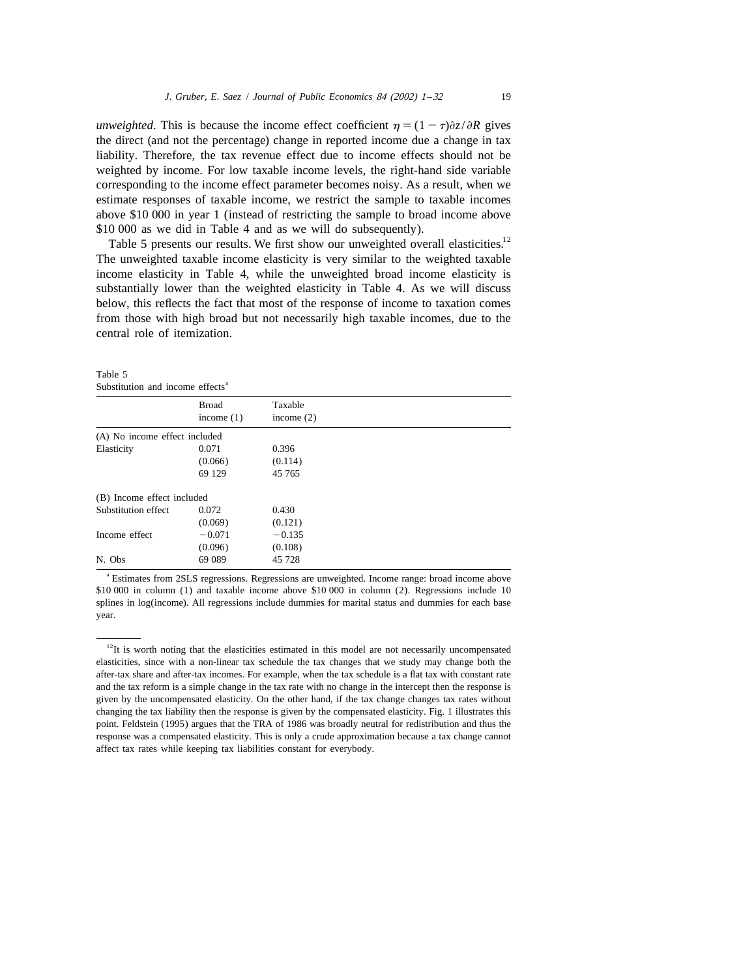*unweighted*. This is because the income effect coefficient  $\eta = (1 - \tau)\partial z/\partial R$  gives the direct (and not the percentage) change in reported income due a change in tax liability. Therefore, the tax revenue effect due to income effects should not be weighted by income. For low taxable income levels, the right-hand side variable corresponding to the income effect parameter becomes noisy. As a result, when we estimate responses of taxable income, we restrict the sample to taxable incomes above \$10 000 in year 1 (instead of restricting the sample to broad income above  $$10,000$  as we did in Table 4 and as we will do subsequently).<br>Table 5 presents our results. We first show our unweighted overall elasticities.<sup>12</sup>

The unweighted taxable income elasticity is very similar to the weighted taxable income elasticity in Table 4, while the unweighted broad income elasticity is substantially lower than the weighted elasticity in Table 4. As we will discuss below, this reflects the fact that most of the response of income to taxation comes from those with high broad but not necessarily high taxable incomes, due to the central role of itemization.

Table 5 Substitution and income effects $a$ 

|                               | <b>Broad</b><br>income $(1)$ | Taxable<br>income $(2)$ |  |
|-------------------------------|------------------------------|-------------------------|--|
| (A) No income effect included |                              |                         |  |
| Elasticity                    | 0.071                        | 0.396                   |  |
|                               | (0.066)                      | (0.114)                 |  |
|                               | 69 129                       | 45 765                  |  |
| (B) Income effect included    |                              |                         |  |
| Substitution effect           | 0.072                        | 0.430                   |  |
|                               | (0.069)                      | (0.121)                 |  |
| Income effect                 | $-0.071$                     | $-0.135$                |  |
|                               | (0.096)                      | (0.108)                 |  |
| N. Obs                        | 69 089                       | 45 728                  |  |
|                               |                              |                         |  |

<sup>a</sup> Estimates from 2SLS regressions. Regressions are unweighted. Income range: broad income above \$10 000 in column (1) and taxable income above \$10 000 in column (2). Regressions include 10 splines in log(income). All regressions include dummies for marital status and dummies for each base year.

 $12$ It is worth noting that the elasticities estimated in this model are not necessarily uncompensated elasticities, since with a non-linear tax schedule the tax changes that we study may change both the after-tax share and after-tax incomes. For example, when the tax schedule is a flat tax with constant rate and the tax reform is a simple change in the tax rate with no change in the intercept then the response is given by the uncompensated elasticity. On the other hand, if the tax change changes tax rates without changing the tax liability then the response is given by the compensated elasticity. Fig. 1 illustrates this point. Feldstein (1995) argues that the TRA of 1986 was broadly neutral for redistribution and thus the response was a compensated elasticity. This is only a crude approximation because a tax change cannot affect tax rates while keeping tax liabilities constant for everybody.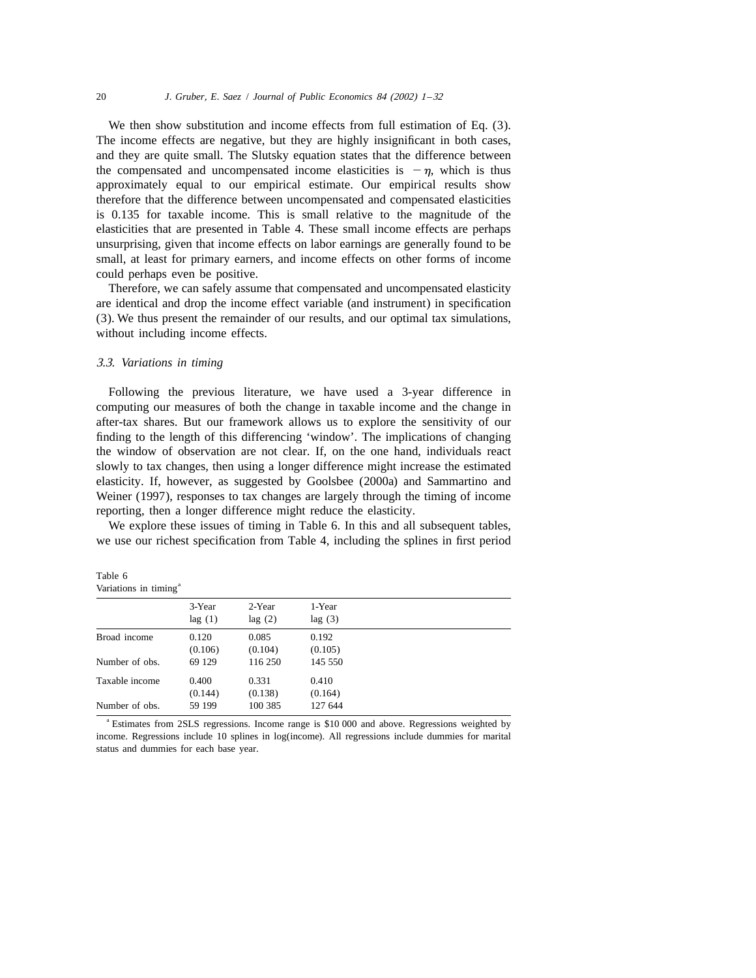We then show substitution and income effects from full estimation of Eq. (3). The income effects are negative, but they are highly insignificant in both cases, and they are quite small. The Slutsky equation states that the difference between the compensated and uncompensated income elasticities is  $-\eta$ , which is thus approximately equal to our empirical estimate. Our empirical results show therefore that the difference between uncompensated and compensated elasticities is 0.135 for taxable income. This is small relative to the magnitude of the elasticities that are presented in Table 4. These small income effects are perhaps unsurprising, given that income effects on labor earnings are generally found to be small, at least for primary earners, and income effects on other forms of income could perhaps even be positive.

Therefore, we can safely assume that compensated and uncompensated elasticity are identical and drop the income effect variable (and instrument) in specification (3). We thus present the remainder of our results, and our optimal tax simulations, without including income effects.

#### 3.3. *Variations in timing*

Table 6

Following the previous literature, we have used a 3-year difference in computing our measures of both the change in taxable income and the change in after-tax shares. But our framework allows us to explore the sensitivity of our finding to the length of this differencing 'window'. The implications of changing the window of observation are not clear. If, on the one hand, individuals react slowly to tax changes, then using a longer difference might increase the estimated elasticity. If, however, as suggested by Goolsbee (2000a) and Sammartino and Weiner (1997), responses to tax changes are largely through the timing of income reporting, then a longer difference might reduce the elasticity.

We explore these issues of timing in Table 6. In this and all subsequent tables, we use our richest specification from Table 4, including the splines in first period

| Variations in timing <sup>a</sup> |         |         |         |  |
|-----------------------------------|---------|---------|---------|--|
|                                   | 3-Year  | 2-Year  | 1-Year  |  |
|                                   | lag(1)  | lag(2)  | lag(3)  |  |
| Broad income                      | 0.120   | 0.085   | 0.192   |  |
|                                   | (0.106) | (0.104) | (0.105) |  |
| Number of obs.                    | 69 129  | 116 250 | 145 550 |  |
| Taxable income                    | 0.400   | 0.331   | 0.410   |  |
|                                   | (0.144) | (0.138) | (0.164) |  |
| Number of obs.                    | 59 199  | 100 385 | 127 644 |  |

<sup>a</sup> Estimates from 2SLS regressions. Income range is \$10 000 and above. Regressions weighted by income. Regressions include 10 splines in log(income). All regressions include dummies for marital status and dummies for each base year.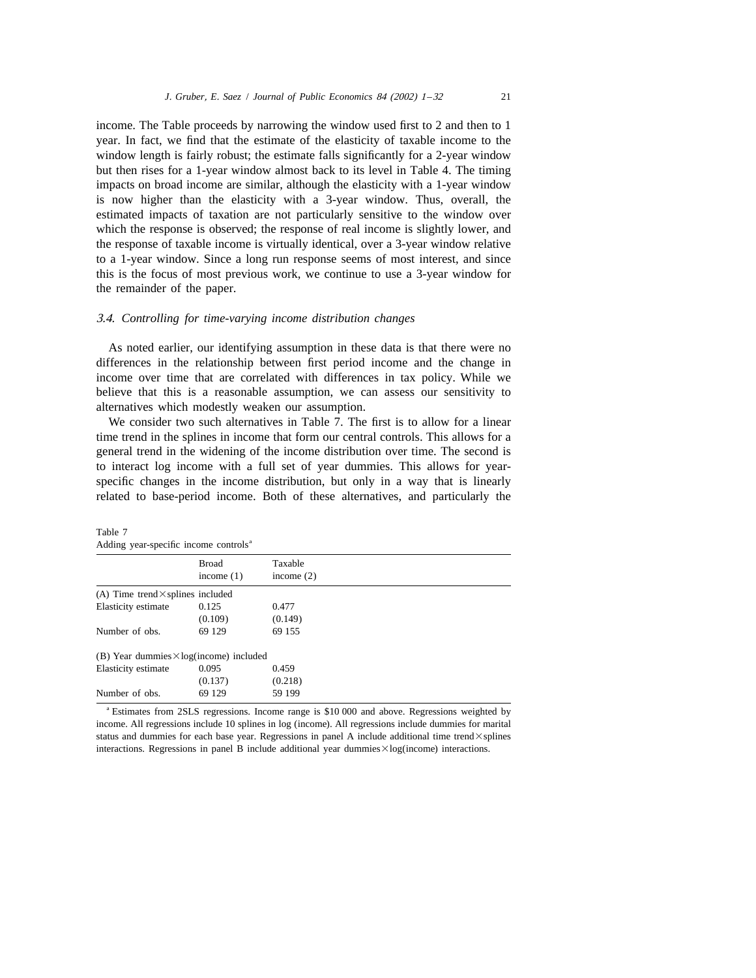income. The Table proceeds by narrowing the window used first to 2 and then to 1 year. In fact, we find that the estimate of the elasticity of taxable income to the window length is fairly robust; the estimate falls significantly for a 2-year window but then rises for a 1-year window almost back to its level in Table 4. The timing impacts on broad income are similar, although the elasticity with a 1-year window is now higher than the elasticity with a 3-year window. Thus, overall, the estimated impacts of taxation are not particularly sensitive to the window over which the response is observed; the response of real income is slightly lower, and the response of taxable income is virtually identical, over a 3-year window relative to a 1-year window. Since a long run response seems of most interest, and since this is the focus of most previous work, we continue to use a 3-year window for the remainder of the paper.

## 3.4. *Controlling for time*-*varying income distribution changes*

As noted earlier, our identifying assumption in these data is that there were no differences in the relationship between first period income and the change in income over time that are correlated with differences in tax policy. While we believe that this is a reasonable assumption, we can assess our sensitivity to alternatives which modestly weaken our assumption.

We consider two such alternatives in Table 7. The first is to allow for a linear time trend in the splines in income that form our central controls. This allows for a general trend in the widening of the income distribution over time. The second is to interact log income with a full set of year dummies. This allows for yearspecific changes in the income distribution, but only in a way that is linearly related to base-period income. Both of these alternatives, and particularly the

Table 7 Adding year-specific income controls<sup>a</sup>

|                                                  | <b>Broad</b><br>income $(1)$ | Taxable<br>income $(2)$ |
|--------------------------------------------------|------------------------------|-------------------------|
| (A) Time trend $\times$ splines included         |                              |                         |
| Elasticity estimate                              | 0.125                        | 0.477                   |
|                                                  | (0.109)                      | (0.149)                 |
| Number of obs.                                   | 69 129                       | 69 155                  |
| $(B)$ Year dummies $\times$ log(income) included |                              |                         |
| Elasticity estimate                              | 0.095                        | 0.459                   |
|                                                  | (0.137)                      | (0.218)                 |
| Number of obs.                                   | 69 129                       | 59 199                  |

<sup>a</sup> Estimates from 2SLS regressions. Income range is \$10 000 and above. Regressions weighted by income. All regressions include 10 splines in log (income). All regressions include dummies for marital status and dummies for each base year. Regressions in panel A include additional time trend $\times$ splines interactions. Regressions in panel B include additional year dummies $\times$ log(income) interactions.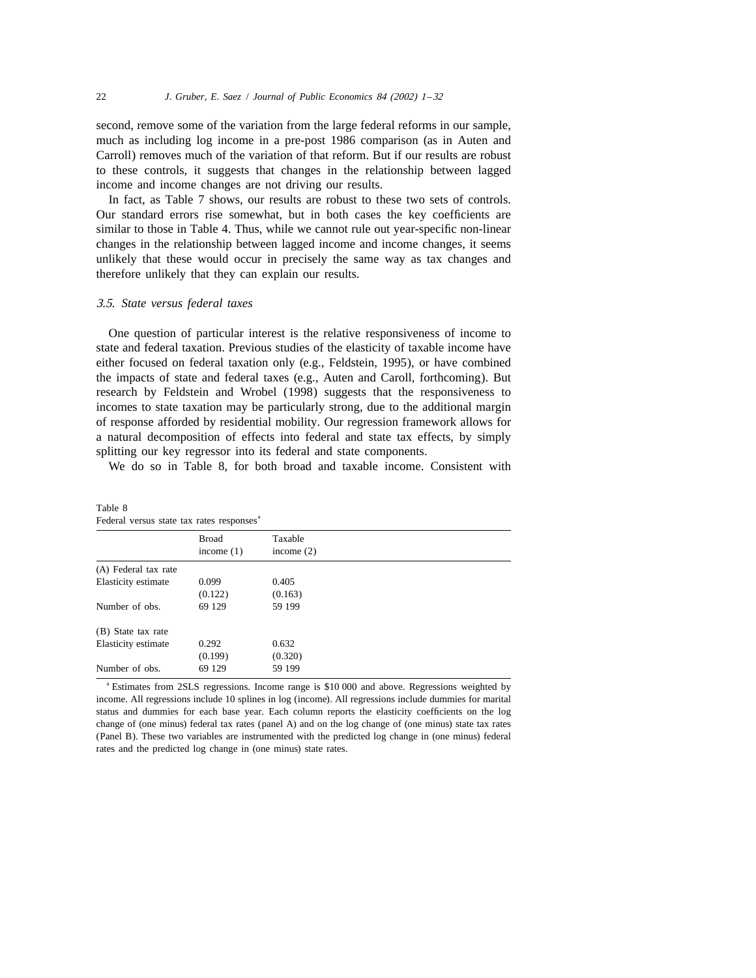second, remove some of the variation from the large federal reforms in our sample, much as including log income in a pre-post 1986 comparison (as in Auten and Carroll) removes much of the variation of that reform. But if our results are robust to these controls, it suggests that changes in the relationship between lagged income and income changes are not driving our results.

In fact, as Table 7 shows, our results are robust to these two sets of controls. Our standard errors rise somewhat, but in both cases the key coefficients are similar to those in Table 4. Thus, while we cannot rule out year-specific non-linear changes in the relationship between lagged income and income changes, it seems unlikely that these would occur in precisely the same way as tax changes and therefore unlikely that they can explain our results.

#### 3.5. *State versus federal taxes*

One question of particular interest is the relative responsiveness of income to state and federal taxation. Previous studies of the elasticity of taxable income have either focused on federal taxation only (e.g., Feldstein, 1995), or have combined the impacts of state and federal taxes (e.g., Auten and Caroll, forthcoming). But research by Feldstein and Wrobel (1998) suggests that the responsiveness to incomes to state taxation may be particularly strong, due to the additional margin of response afforded by residential mobility. Our regression framework allows for a natural decomposition of effects into federal and state tax effects, by simply splitting our key regressor into its federal and state components.

We do so in Table 8, for both broad and taxable income. Consistent with

| Federal versus state tax rates responses |                              |                         |  |
|------------------------------------------|------------------------------|-------------------------|--|
|                                          | <b>Broad</b><br>income $(1)$ | Taxable<br>income $(2)$ |  |
| (A) Federal tax rate                     |                              |                         |  |
| Elasticity estimate                      | 0.099                        | 0.405                   |  |
|                                          | (0.122)                      | (0.163)                 |  |
| Number of obs.                           | 69 129                       | 59 199                  |  |
| (B) State tax rate                       |                              |                         |  |
| Elasticity estimate                      | 0.292                        | 0.632                   |  |
|                                          | (0.199)                      | (0.320)                 |  |
| Number of obs.                           | 69 129                       | 59 199                  |  |

Table 8 Federal versus state tax rates responses<sup>a</sup>

<sup>a</sup> Estimates from 2SLS regressions. Income range is \$10 000 and above. Regressions weighted by income. All regressions include 10 splines in log (income). All regressions include dummies for marital status and dummies for each base year. Each column reports the elasticity coefficients on the log change of (one minus) federal tax rates (panel A) and on the log change of (one minus) state tax rates (Panel B). These two variables are instrumented with the predicted log change in (one minus) federal rates and the predicted log change in (one minus) state rates.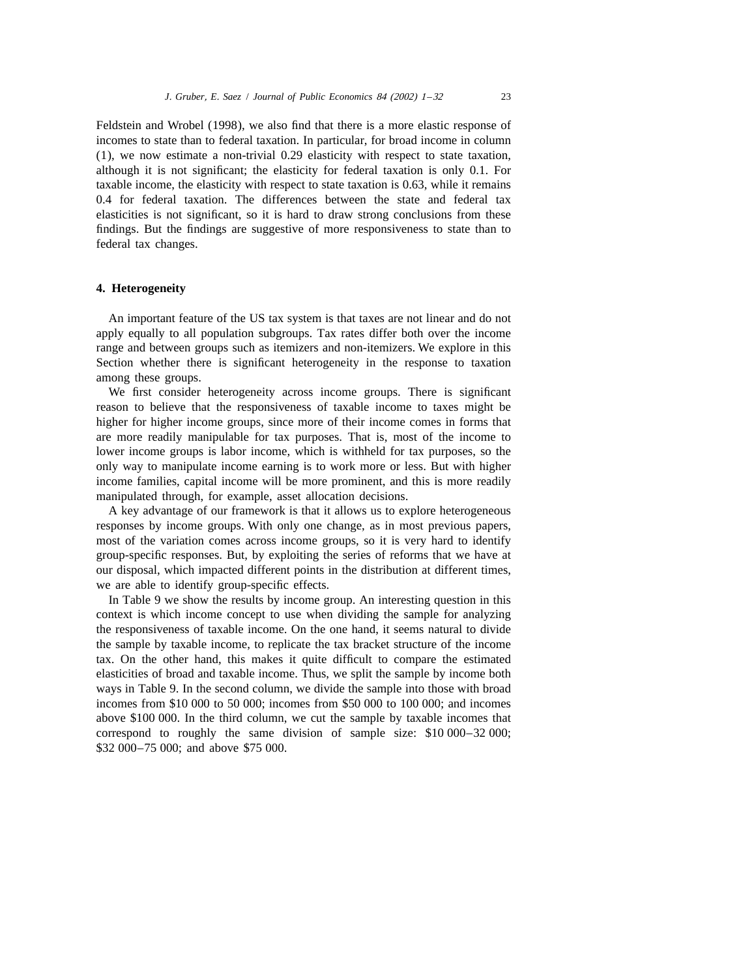Feldstein and Wrobel (1998), we also find that there is a more elastic response of incomes to state than to federal taxation. In particular, for broad income in column (1), we now estimate a non-trivial 0.29 elasticity with respect to state taxation, although it is not significant; the elasticity for federal taxation is only 0.1. For taxable income, the elasticity with respect to state taxation is 0.63, while it remains 0.4 for federal taxation. The differences between the state and federal tax elasticities is not significant, so it is hard to draw strong conclusions from these findings. But the findings are suggestive of more responsiveness to state than to federal tax changes.

## **4. Heterogeneity**

An important feature of the US tax system is that taxes are not linear and do not apply equally to all population subgroups. Tax rates differ both over the income range and between groups such as itemizers and non-itemizers. We explore in this Section whether there is significant heterogeneity in the response to taxation among these groups.

We first consider heterogeneity across income groups. There is significant reason to believe that the responsiveness of taxable income to taxes might be higher for higher income groups, since more of their income comes in forms that are more readily manipulable for tax purposes. That is, most of the income to lower income groups is labor income, which is withheld for tax purposes, so the only way to manipulate income earning is to work more or less. But with higher income families, capital income will be more prominent, and this is more readily manipulated through, for example, asset allocation decisions.

A key advantage of our framework is that it allows us to explore heterogeneous responses by income groups. With only one change, as in most previous papers, most of the variation comes across income groups, so it is very hard to identify group-specific responses. But, by exploiting the series of reforms that we have at our disposal, which impacted different points in the distribution at different times, we are able to identify group-specific effects.

In Table 9 we show the results by income group. An interesting question in this context is which income concept to use when dividing the sample for analyzing the responsiveness of taxable income. On the one hand, it seems natural to divide the sample by taxable income, to replicate the tax bracket structure of the income tax. On the other hand, this makes it quite difficult to compare the estimated elasticities of broad and taxable income. Thus, we split the sample by income both ways in Table 9. In the second column, we divide the sample into those with broad incomes from \$10 000 to 50 000; incomes from \$50 000 to 100 000; and incomes above \$100 000. In the third column, we cut the sample by taxable incomes that correspond to roughly the same division of sample size: \$10 000–32 000; \$32 000–75 000; and above \$75 000.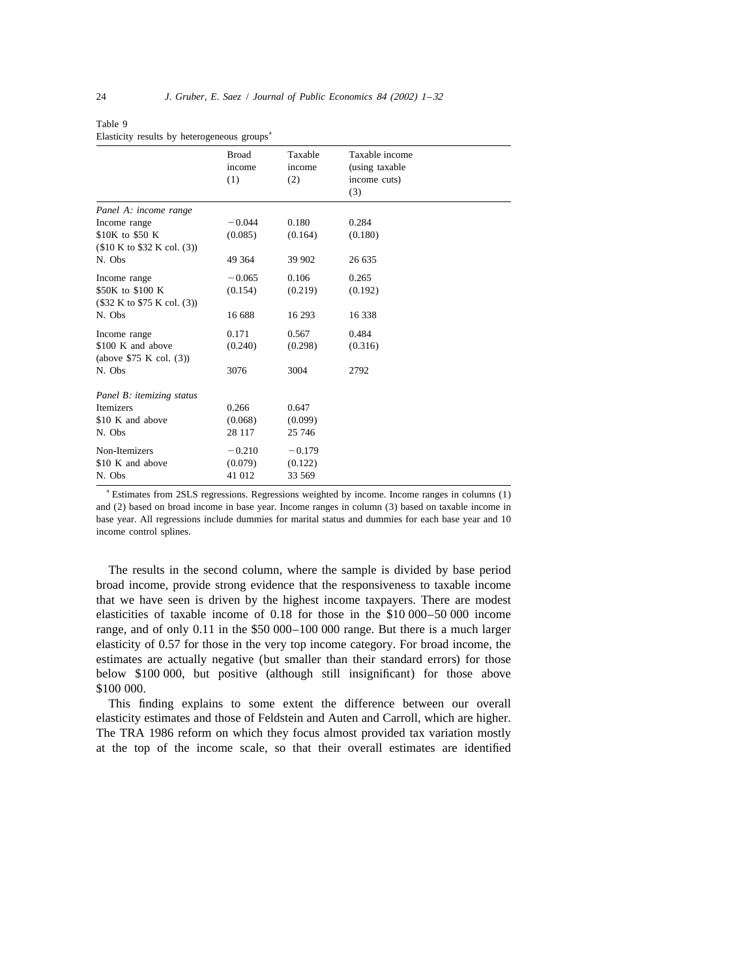|                                                   | <b>Broad</b><br>income<br>(1) | Taxable<br>income<br>(2) | Taxable income<br>(using taxable<br>income cuts)<br>(3) |  |
|---------------------------------------------------|-------------------------------|--------------------------|---------------------------------------------------------|--|
| Panel A: income range                             |                               |                          |                                                         |  |
| Income range                                      | $-0.044$                      | 0.180                    | 0.284                                                   |  |
| \$10K to \$50 K<br>(\$10 K to \$32 K col. (3))    | (0.085)                       | (0.164)                  | (0.180)                                                 |  |
| N. Obs                                            | 49 364                        | 39 902                   | 26 635                                                  |  |
| Income range                                      | $-0.065$                      | 0.106                    | 0.265                                                   |  |
| \$50K to \$100 K<br>$(\$32 K to \$75 K col. (3))$ | (0.154)                       | (0.219)                  | (0.192)                                                 |  |
| N. Obs                                            | 16 688                        | 16 29 3                  | 16 3 38                                                 |  |
| Income range                                      | 0.171                         | 0.567                    | 0.484                                                   |  |
| \$100 K and above<br>(above $$75 K col. (3)$ )    | (0.240)                       | (0.298)                  | (0.316)                                                 |  |
| N. Obs                                            | 3076                          | 3004                     | 2792                                                    |  |
| Panel B: itemizing status                         |                               |                          |                                                         |  |
| Itemizers                                         | 0.266                         | 0.647                    |                                                         |  |
| \$10 K and above                                  | (0.068)                       | (0.099)                  |                                                         |  |
| N. Obs                                            | 28 117                        | 25 746                   |                                                         |  |
| Non-Itemizers                                     | $-0.210$                      | $-0.179$                 |                                                         |  |
| \$10 K and above                                  | (0.079)                       | (0.122)                  |                                                         |  |
| N. Obs                                            | 41 012                        | 33 569                   |                                                         |  |

Table 9 Elasticity results by heterogeneous groups<sup>a</sup>

<sup>a</sup> Estimates from 2SLS regressions. Regressions weighted by income. Income ranges in columns (1) and (2) based on broad income in base year. Income ranges in column (3) based on taxable income in base year. All regressions include dummies for marital status and dummies for each base year and 10 income control splines.

The results in the second column, where the sample is divided by base period broad income, provide strong evidence that the responsiveness to taxable income that we have seen is driven by the highest income taxpayers. There are modest elasticities of taxable income of 0.18 for those in the \$10 000–50 000 income range, and of only 0.11 in the \$50 000–100 000 range. But there is a much larger elasticity of 0.57 for those in the very top income category. For broad income, the estimates are actually negative (but smaller than their standard errors) for those below \$100 000, but positive (although still insignificant) for those above \$100 000.

This finding explains to some extent the difference between our overall elasticity estimates and those of Feldstein and Auten and Carroll, which are higher. The TRA 1986 reform on which they focus almost provided tax variation mostly at the top of the income scale, so that their overall estimates are identified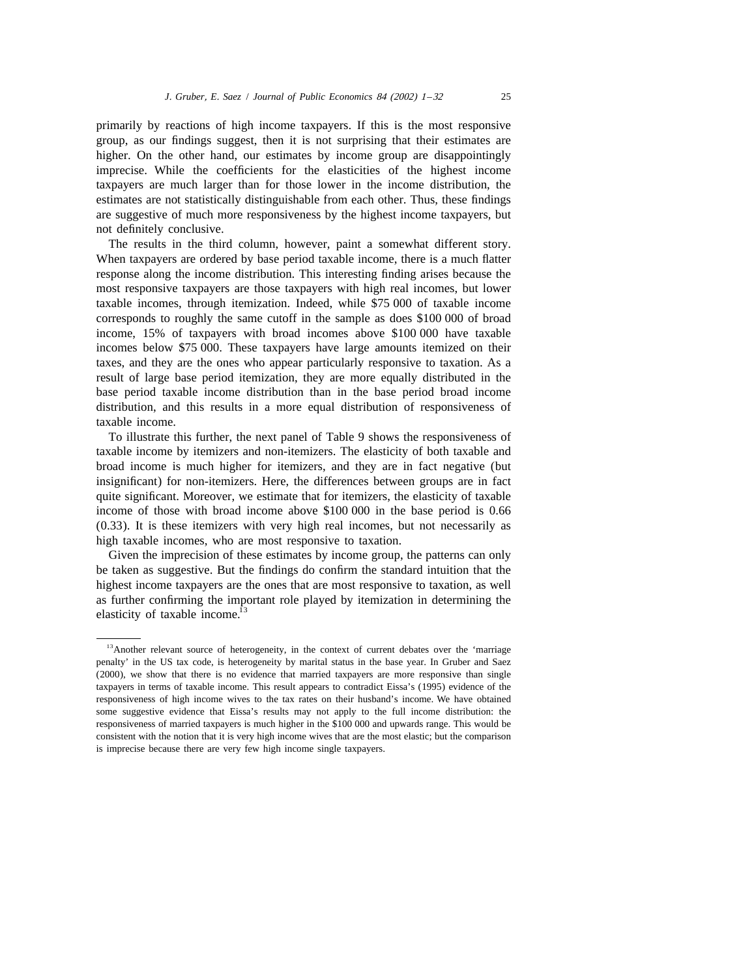primarily by reactions of high income taxpayers. If this is the most responsive group, as our findings suggest, then it is not surprising that their estimates are higher. On the other hand, our estimates by income group are disappointingly imprecise. While the coefficients for the elasticities of the highest income taxpayers are much larger than for those lower in the income distribution, the estimates are not statistically distinguishable from each other. Thus, these findings are suggestive of much more responsiveness by the highest income taxpayers, but not definitely conclusive.

The results in the third column, however, paint a somewhat different story. When taxpayers are ordered by base period taxable income, there is a much flatter response along the income distribution. This interesting finding arises because the most responsive taxpayers are those taxpayers with high real incomes, but lower taxable incomes, through itemization. Indeed, while \$75 000 of taxable income corresponds to roughly the same cutoff in the sample as does \$100 000 of broad income, 15% of taxpayers with broad incomes above \$100 000 have taxable incomes below \$75 000. These taxpayers have large amounts itemized on their taxes, and they are the ones who appear particularly responsive to taxation. As a result of large base period itemization, they are more equally distributed in the base period taxable income distribution than in the base period broad income distribution, and this results in a more equal distribution of responsiveness of taxable income.

To illustrate this further, the next panel of Table 9 shows the responsiveness of taxable income by itemizers and non-itemizers. The elasticity of both taxable and broad income is much higher for itemizers, and they are in fact negative (but insignificant) for non-itemizers. Here, the differences between groups are in fact quite significant. Moreover, we estimate that for itemizers, the elasticity of taxable income of those with broad income above \$100 000 in the base period is 0.66 (0.33). It is these itemizers with very high real incomes, but not necessarily as high taxable incomes, who are most responsive to taxation.

Given the imprecision of these estimates by income group, the patterns can only be taken as suggestive. But the findings do confirm the standard intuition that the highest income taxpayers are the ones that are most responsive to taxation, as well as further confirming the important role played by itemization in determining the elasticity of taxable income.<sup>13</sup>

<sup>&</sup>lt;sup>13</sup>Another relevant source of heterogeneity, in the context of current debates over the 'marriage penalty' in the US tax code, is heterogeneity by marital status in the base year. In Gruber and Saez (2000), we show that there is no evidence that married taxpayers are more responsive than single taxpayers in terms of taxable income. This result appears to contradict Eissa's (1995) evidence of the responsiveness of high income wives to the tax rates on their husband's income. We have obtained some suggestive evidence that Eissa's results may not apply to the full income distribution: the responsiveness of married taxpayers is much higher in the \$100 000 and upwards range. This would be consistent with the notion that it is very high income wives that are the most elastic; but the comparison is imprecise because there are very few high income single taxpayers.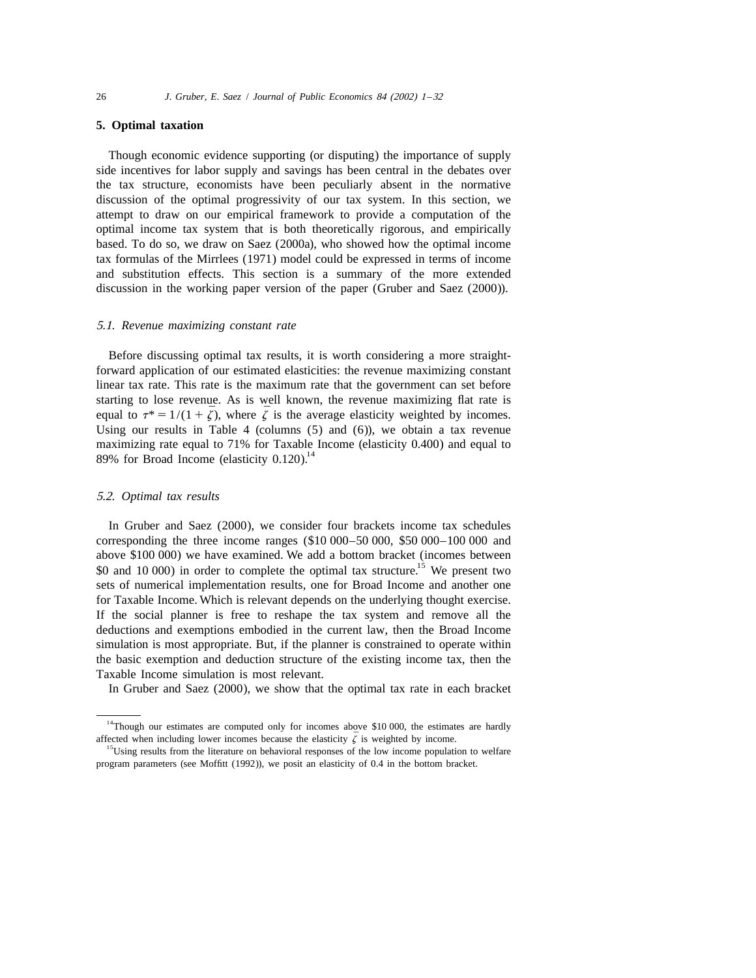## **5. Optimal taxation**

Though economic evidence supporting (or disputing) the importance of supply side incentives for labor supply and savings has been central in the debates over the tax structure, economists have been peculiarly absent in the normative discussion of the optimal progressivity of our tax system. In this section, we attempt to draw on our empirical framework to provide a computation of the optimal income tax system that is both theoretically rigorous, and empirically based. To do so, we draw on Saez (2000a), who showed how the optimal income tax formulas of the Mirrlees (1971) model could be expressed in terms of income and substitution effects. This section is a summary of the more extended discussion in the working paper version of the paper (Gruber and Saez (2000)).

#### 5.1. *Revenue maximizing constant rate*

Before discussing optimal tax results, it is worth considering a more straightforward application of our estimated elasticities: the revenue maximizing constant linear tax rate. This rate is the maximum rate that the government can set before starting to lose revenue. As is well known, the revenue maximizing flat rate is equal to  $\tau^* = 1/(1 + \bar{\zeta})$ , where  $\bar{\zeta}$  is the average elasticity weighted by incomes. Using our results in Table 4 (columns  $(5)$  and  $(6)$ ), we obtain a tax revenue maximizing rate equal to 71% for Taxable Income (elasticity 0.400) and equal to 89% for Broad Income (elasticity 0.120).<sup>14</sup>

#### 5.2. *Optimal tax results*

In Gruber and Saez (2000), we consider four brackets income tax schedules corresponding the three income ranges (\$10 000–50 000, \$50 000–100 000 and above \$100 000) we have examined. We add a bottom bracket (incomes between \$0 and 10 000) in order to complete the optimal tax structure.<sup>15</sup> We present two sets of numerical implementation results, one for Broad Income and another one for Taxable Income. Which is relevant depends on the underlying thought exercise. If the social planner is free to reshape the tax system and remove all the deductions and exemptions embodied in the current law, then the Broad Income simulation is most appropriate. But, if the planner is constrained to operate within the basic exemption and deduction structure of the existing income tax, then the Taxable Income simulation is most relevant.

In Gruber and Saez (2000), we show that the optimal tax rate in each bracket

<sup>&</sup>lt;sup>14</sup>Though our estimates are computed only for incomes above \$10 000, the estimates are hardly affected when including lower incomes because the elasticity  $\bar{\zeta}$  is weighted by income.

<sup>&</sup>lt;sup>15</sup>Using results from the literature on behavioral responses of the low income population to welfare program parameters (see Moffitt (1992)), we posit an elasticity of 0.4 in the bottom bracket.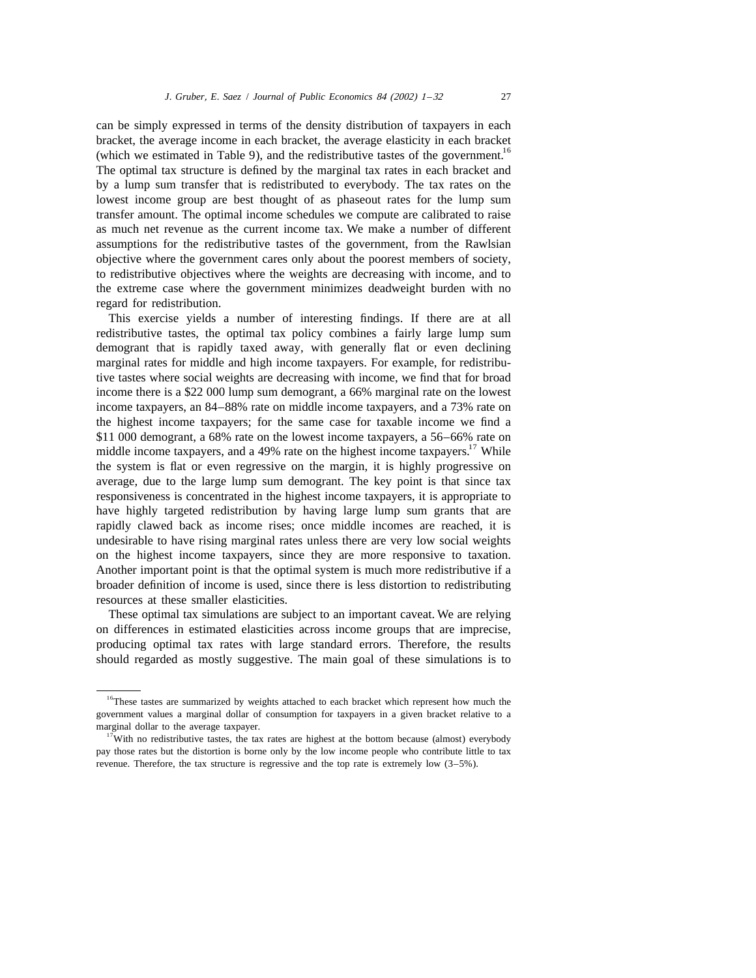can be simply expressed in terms of the density distribution of taxpayers in each bracket, the average income in each bracket, the average elasticity in each bracket (which we estimated in Table 9), and the redistributive tastes of the government.<sup>16</sup> The optimal tax structure is defined by the marginal tax rates in each bracket and by a lump sum transfer that is redistributed to everybody. The tax rates on the lowest income group are best thought of as phaseout rates for the lump sum transfer amount. The optimal income schedules we compute are calibrated to raise as much net revenue as the current income tax. We make a number of different assumptions for the redistributive tastes of the government, from the Rawlsian objective where the government cares only about the poorest members of society, to redistributive objectives where the weights are decreasing with income, and to the extreme case where the government minimizes deadweight burden with no regard for redistribution.

This exercise yields a number of interesting findings. If there are at all redistributive tastes, the optimal tax policy combines a fairly large lump sum demogrant that is rapidly taxed away, with generally flat or even declining marginal rates for middle and high income taxpayers. For example, for redistributive tastes where social weights are decreasing with income, we find that for broad income there is a \$22 000 lump sum demogrant, a 66% marginal rate on the lowest income taxpayers, an 84–88% rate on middle income taxpayers, and a 73% rate on the highest income taxpayers; for the same case for taxable income we find a \$11 000 demogrant, a 68% rate on the lowest income taxpayers, a 56–66% rate on middle income taxpayers, and a 49% rate on the highest income taxpayers.<sup>17</sup> While the system is flat or even regressive on the margin, it is highly progressive on average, due to the large lump sum demogrant. The key point is that since tax responsiveness is concentrated in the highest income taxpayers, it is appropriate to have highly targeted redistribution by having large lump sum grants that are rapidly clawed back as income rises; once middle incomes are reached, it is undesirable to have rising marginal rates unless there are very low social weights on the highest income taxpayers, since they are more responsive to taxation. Another important point is that the optimal system is much more redistributive if a broader definition of income is used, since there is less distortion to redistributing resources at these smaller elasticities.

These optimal tax simulations are subject to an important caveat. We are relying on differences in estimated elasticities across income groups that are imprecise, producing optimal tax rates with large standard errors. Therefore, the results should regarded as mostly suggestive. The main goal of these simulations is to

<sup>&</sup>lt;sup>16</sup>These tastes are summarized by weights attached to each bracket which represent how much the government values a marginal dollar of consumption for taxpayers in a given bracket relative to a marginal dollar to the average taxpayer.

<sup>&</sup>lt;sup>17</sup>With no redistributive tastes, the tax rates are highest at the bottom because (almost) everybody pay those rates but the distortion is borne only by the low income people who contribute little to tax revenue. Therefore, the tax structure is regressive and the top rate is extremely low (3–5%).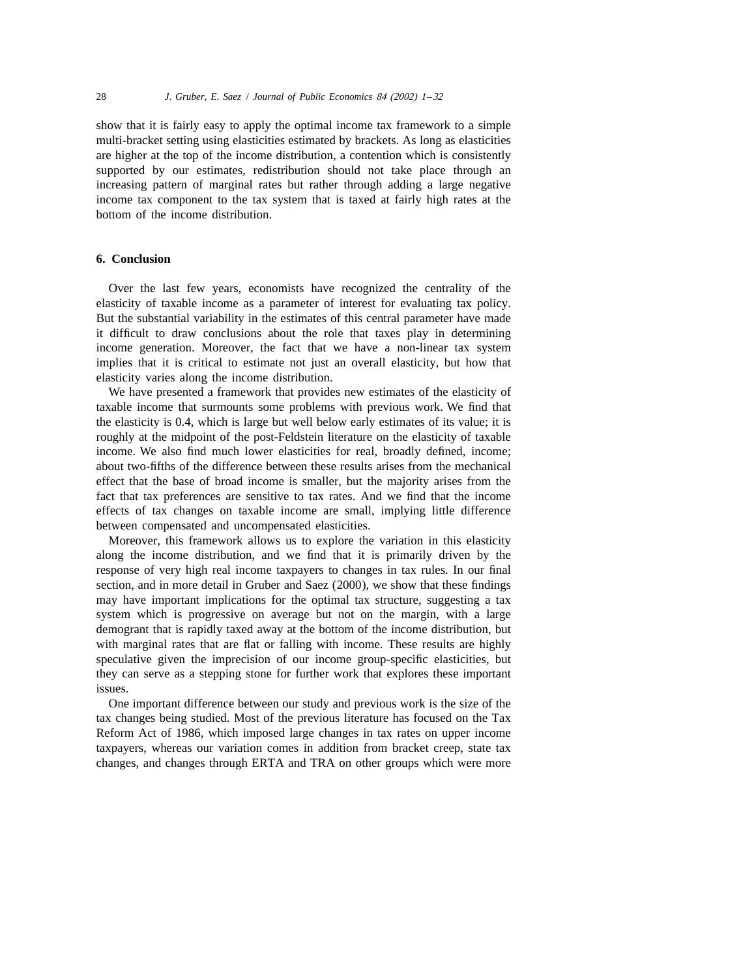show that it is fairly easy to apply the optimal income tax framework to a simple multi-bracket setting using elasticities estimated by brackets. As long as elasticities are higher at the top of the income distribution, a contention which is consistently supported by our estimates, redistribution should not take place through an increasing pattern of marginal rates but rather through adding a large negative income tax component to the tax system that is taxed at fairly high rates at the bottom of the income distribution.

#### **6. Conclusion**

Over the last few years, economists have recognized the centrality of the elasticity of taxable income as a parameter of interest for evaluating tax policy. But the substantial variability in the estimates of this central parameter have made it difficult to draw conclusions about the role that taxes play in determining income generation. Moreover, the fact that we have a non-linear tax system implies that it is critical to estimate not just an overall elasticity, but how that elasticity varies along the income distribution.

We have presented a framework that provides new estimates of the elasticity of taxable income that surmounts some problems with previous work. We find that the elasticity is 0.4, which is large but well below early estimates of its value; it is roughly at the midpoint of the post-Feldstein literature on the elasticity of taxable income. We also find much lower elasticities for real, broadly defined, income; about two-fifths of the difference between these results arises from the mechanical effect that the base of broad income is smaller, but the majority arises from the fact that tax preferences are sensitive to tax rates. And we find that the income effects of tax changes on taxable income are small, implying little difference between compensated and uncompensated elasticities.

Moreover, this framework allows us to explore the variation in this elasticity along the income distribution, and we find that it is primarily driven by the response of very high real income taxpayers to changes in tax rules. In our final section, and in more detail in Gruber and Saez (2000), we show that these findings may have important implications for the optimal tax structure, suggesting a tax system which is progressive on average but not on the margin, with a large demogrant that is rapidly taxed away at the bottom of the income distribution, but with marginal rates that are flat or falling with income. These results are highly speculative given the imprecision of our income group-specific elasticities, but they can serve as a stepping stone for further work that explores these important issues.

One important difference between our study and previous work is the size of the tax changes being studied. Most of the previous literature has focused on the Tax Reform Act of 1986, which imposed large changes in tax rates on upper income taxpayers, whereas our variation comes in addition from bracket creep, state tax changes, and changes through ERTA and TRA on other groups which were more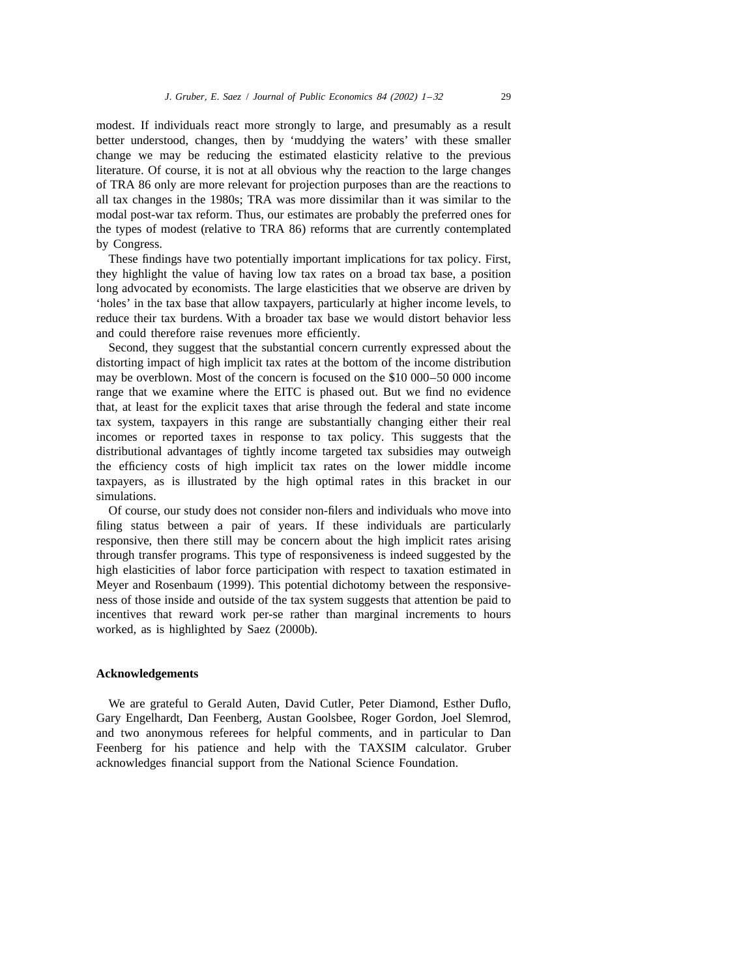modest. If individuals react more strongly to large, and presumably as a result better understood, changes, then by 'muddying the waters' with these smaller change we may be reducing the estimated elasticity relative to the previous literature. Of course, it is not at all obvious why the reaction to the large changes of TRA 86 only are more relevant for projection purposes than are the reactions to all tax changes in the 1980s; TRA was more dissimilar than it was similar to the modal post-war tax reform. Thus, our estimates are probably the preferred ones for the types of modest (relative to TRA 86) reforms that are currently contemplated by Congress.

These findings have two potentially important implications for tax policy. First, they highlight the value of having low tax rates on a broad tax base, a position long advocated by economists. The large elasticities that we observe are driven by 'holes' in the tax base that allow taxpayers, particularly at higher income levels, to reduce their tax burdens. With a broader tax base we would distort behavior less and could therefore raise revenues more efficiently.

Second, they suggest that the substantial concern currently expressed about the distorting impact of high implicit tax rates at the bottom of the income distribution may be overblown. Most of the concern is focused on the \$10 000–50 000 income range that we examine where the EITC is phased out. But we find no evidence that, at least for the explicit taxes that arise through the federal and state income tax system, taxpayers in this range are substantially changing either their real incomes or reported taxes in response to tax policy. This suggests that the distributional advantages of tightly income targeted tax subsidies may outweigh the efficiency costs of high implicit tax rates on the lower middle income taxpayers, as is illustrated by the high optimal rates in this bracket in our simulations.

Of course, our study does not consider non-filers and individuals who move into filing status between a pair of years. If these individuals are particularly responsive, then there still may be concern about the high implicit rates arising through transfer programs. This type of responsiveness is indeed suggested by the high elasticities of labor force participation with respect to taxation estimated in Meyer and Rosenbaum (1999). This potential dichotomy between the responsiveness of those inside and outside of the tax system suggests that attention be paid to incentives that reward work per-se rather than marginal increments to hours worked, as is highlighted by Saez (2000b).

## **Acknowledgements**

We are grateful to Gerald Auten, David Cutler, Peter Diamond, Esther Duflo, Gary Engelhardt, Dan Feenberg, Austan Goolsbee, Roger Gordon, Joel Slemrod, and two anonymous referees for helpful comments, and in particular to Dan Feenberg for his patience and help with the TAXSIM calculator. Gruber acknowledges financial support from the National Science Foundation.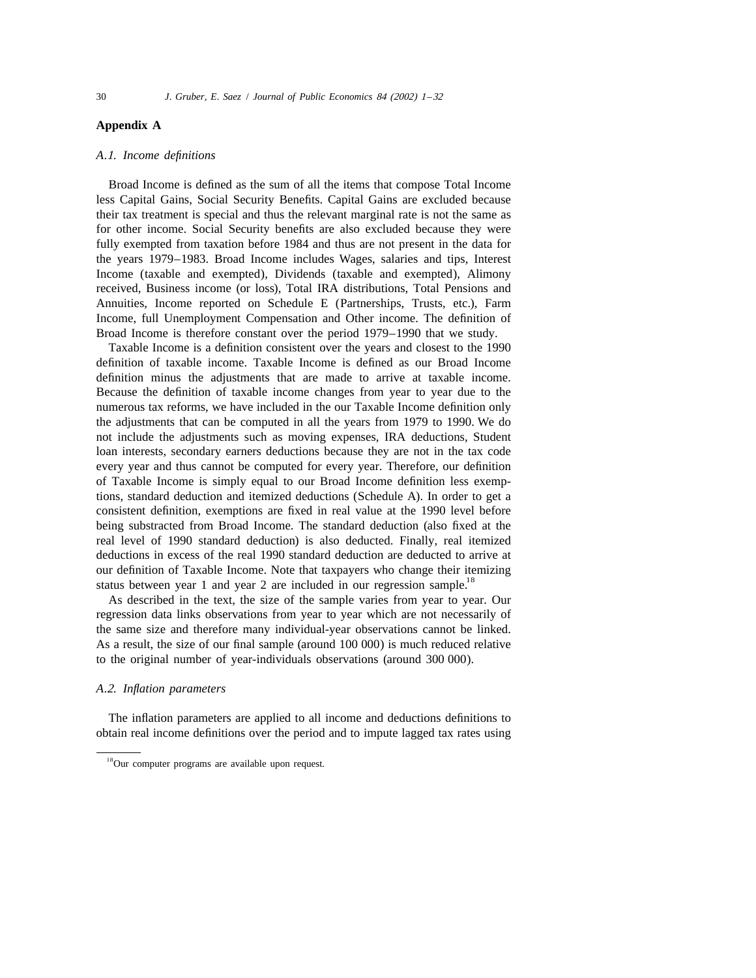# **Appendix A**

#### *A*.1. *Income definitions*

Broad Income is defined as the sum of all the items that compose Total Income less Capital Gains, Social Security Benefits. Capital Gains are excluded because their tax treatment is special and thus the relevant marginal rate is not the same as for other income. Social Security benefits are also excluded because they were fully exempted from taxation before 1984 and thus are not present in the data for the years 1979–1983. Broad Income includes Wages, salaries and tips, Interest Income (taxable and exempted), Dividends (taxable and exempted), Alimony received, Business income (or loss), Total IRA distributions, Total Pensions and Annuities, Income reported on Schedule E (Partnerships, Trusts, etc.), Farm Income, full Unemployment Compensation and Other income. The definition of Broad Income is therefore constant over the period 1979–1990 that we study.

Taxable Income is a definition consistent over the years and closest to the 1990 definition of taxable income. Taxable Income is defined as our Broad Income definition minus the adjustments that are made to arrive at taxable income. Because the definition of taxable income changes from year to year due to the numerous tax reforms, we have included in the our Taxable Income definition only the adjustments that can be computed in all the years from 1979 to 1990. We do not include the adjustments such as moving expenses, IRA deductions, Student loan interests, secondary earners deductions because they are not in the tax code every year and thus cannot be computed for every year. Therefore, our definition of Taxable Income is simply equal to our Broad Income definition less exemptions, standard deduction and itemized deductions (Schedule A). In order to get a consistent definition, exemptions are fixed in real value at the 1990 level before being substracted from Broad Income. The standard deduction (also fixed at the real level of 1990 standard deduction) is also deducted. Finally, real itemized deductions in excess of the real 1990 standard deduction are deducted to arrive at our definition of Taxable Income. Note that taxpayers who change their itemizing status between year 1 and year 2 are included in our regression sample.<sup>18</sup>

As described in the text, the size of the sample varies from year to year. Our regression data links observations from year to year which are not necessarily of the same size and therefore many individual-year observations cannot be linked. As a result, the size of our final sample (around 100 000) is much reduced relative to the original number of year-individuals observations (around 300 000).

## *A*.2. *Inflation parameters*

The inflation parameters are applied to all income and deductions definitions to obtain real income definitions over the period and to impute lagged tax rates using

<sup>&</sup>lt;sup>18</sup>Our computer programs are available upon request.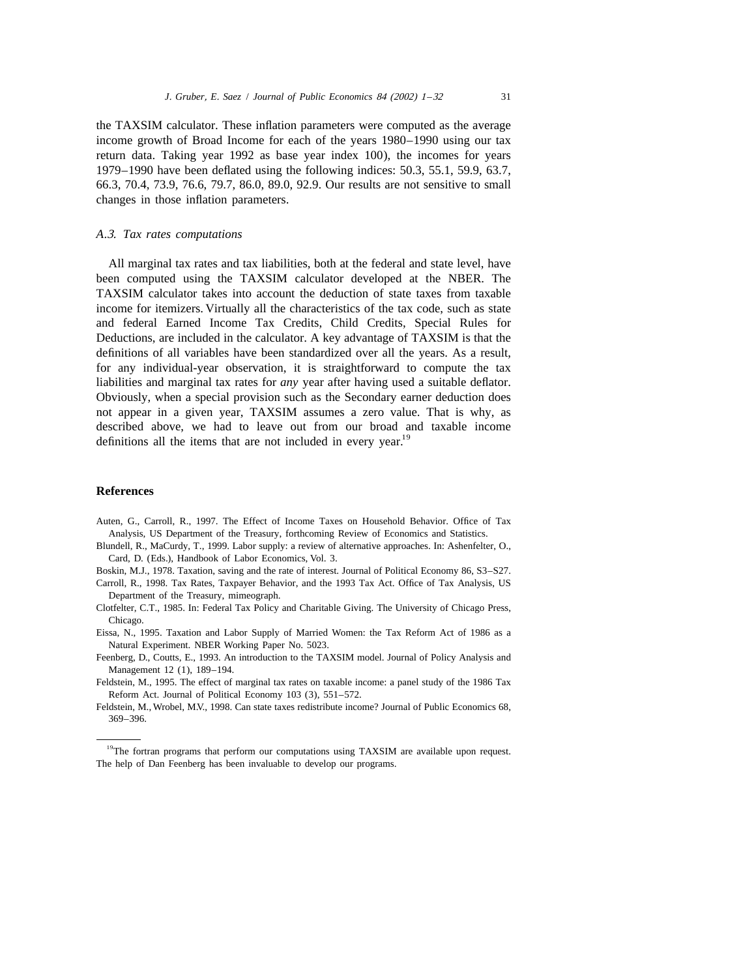the TAXSIM calculator. These inflation parameters were computed as the average income growth of Broad Income for each of the years 1980–1990 using our tax return data. Taking year 1992 as base year index 100), the incomes for years 1979–1990 have been deflated using the following indices: 50.3, 55.1, 59.9, 63.7, 66.3, 70.4, 73.9, 76.6, 79.7, 86.0, 89.0, 92.9. Our results are not sensitive to small changes in those inflation parameters.

#### *A*.3. *Tax rates computations*

All marginal tax rates and tax liabilities, both at the federal and state level, have been computed using the TAXSIM calculator developed at the NBER. The TAXSIM calculator takes into account the deduction of state taxes from taxable income for itemizers. Virtually all the characteristics of the tax code, such as state and federal Earned Income Tax Credits, Child Credits, Special Rules for Deductions, are included in the calculator. A key advantage of TAXSIM is that the definitions of all variables have been standardized over all the years. As a result, for any individual-year observation, it is straightforward to compute the tax liabilities and marginal tax rates for *any* year after having used a suitable deflator. Obviously, when a special provision such as the Secondary earner deduction does not appear in a given year, TAXSIM assumes a zero value. That is why, as described above, we had to leave out from our broad and taxable income definitions all the items that are not included in every year.<sup>19</sup>

## **References**

- Auten, G., Carroll, R., 1997. The Effect of Income Taxes on Household Behavior. Office of Tax Analysis, US Department of the Treasury, forthcoming Review of Economics and Statistics.
- Blundell, R., MaCurdy, T., 1999. Labor supply: a review of alternative approaches. In: Ashenfelter, O., Card, D. (Eds.), Handbook of Labor Economics, Vol. 3.
- Boskin, M.J., 1978. Taxation, saving and the rate of interest. Journal of Political Economy 86, S3–S27.
- Carroll, R., 1998. Tax Rates, Taxpayer Behavior, and the 1993 Tax Act. Office of Tax Analysis, US Department of the Treasury, mimeograph.
- Clotfelter, C.T., 1985. In: Federal Tax Policy and Charitable Giving. The University of Chicago Press, Chicago.
- Eissa, N., 1995. Taxation and Labor Supply of Married Women: the Tax Reform Act of 1986 as a Natural Experiment. NBER Working Paper No. 5023.
- Feenberg, D., Coutts, E., 1993. An introduction to the TAXSIM model. Journal of Policy Analysis and Management 12 (1), 189–194.
- Feldstein, M., 1995. The effect of marginal tax rates on taxable income: a panel study of the 1986 Tax Reform Act. Journal of Political Economy 103 (3), 551–572.
- Feldstein, M., Wrobel, M.V., 1998. Can state taxes redistribute income? Journal of Public Economics 68, 369–396.

<sup>&</sup>lt;sup>19</sup>The fortran programs that perform our computations using TAXSIM are available upon request. The help of Dan Feenberg has been invaluable to develop our programs.